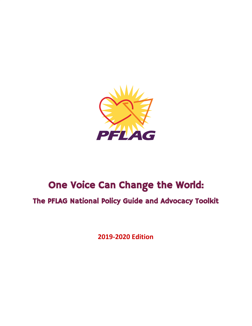

# One Voice Can Change the World:

The PFLAG National Policy Guide and Advocacy Toolkit

**2019-2020 Edition**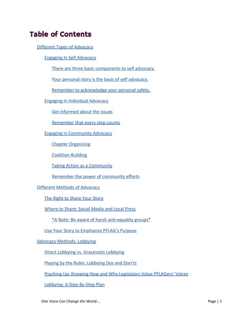# Table of Contents

[Different Types of Advocacy](#page-8-0)

[Engaging In Self Advocacy](#page-8-1)

[There are three basic components to self advocacy.](#page-9-0)

[Your personal story is the basis of self advocacy.](#page-9-1)

[Remember to acknowledge your personal safety.](#page-10-0)

[Engaging in Individual Advocacy](#page-10-1)

[Get informed about the issues](#page-11-0)

[Remember that every step counts](#page-11-1)

[Engaging in Community Advocacy](#page-12-0)

[Chapter Organizing](#page-12-1)

[Coalition Building](#page-13-0)

[Taking Action as a Community](#page-15-0)

[Remember the power of community efforts](#page-16-0)

#### [Different Methods of Advocacy](#page-16-1)

[The Right to Share Your Story](#page-17-0)

[Where to Share: Social Media and Local Press](#page-17-1)

[\\*A Note: Be aware of harsh anti-equality groups\\*](#page-18-0)

[Use Your Story to Emphasize PFLAG's Purpose](#page-19-0)

[Advocacy Methods: Lobbying](#page-19-1)

[Direct Lobbying vs. Grassroots Lobbying](#page-19-2)

[Playing by the Rules: Lobbying Dos and Don'ts](#page-20-0)

[Psyching Up: Knowing How and Why Legislators Value PFLAGers' Voices](#page-20-1)

[Lobbying: A Step-By-Step Plan](#page-21-0)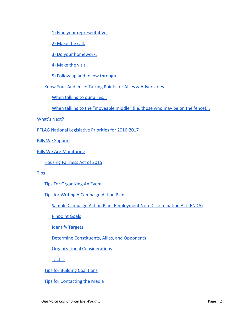[1\) Find your representative.](#page-21-1)

[2\) Make the call.](#page-22-0)

[3\) Do your homework.](#page-22-1)

[4\) Make the visit.](#page-22-2)

[5\) Follow up and follow through.](#page-23-0)

[Know Your Audience: Talking Points for Allies & Adversaries](#page-23-1)

[When talking to our allies...](#page-23-2)

[When talking to the "moveable middle" \(i.e. those who may be on the fence\)...](#page-24-0)

[What's Next?](#page-24-1)

[PFLAG National Legislative Priorities for 2016-2017](#page-25-0)

[Bills We Support](#page-25-1)

[Bills We Are Monitoring](#page-45-0)

Housing Fairness Act of 2015

**[Tips](#page-46-0)** 

**[Tips For Organizing An Event](#page-46-1)** 

[Tips for Writing A Campaign Action Plan](#page-47-0)

[Sample Campaign Action Plan: Employment Non-Discrimination Act \(ENDA\)](#page-47-1)

[Pinpoint Goals](#page-47-2)

**[Identify Targets](#page-47-3)** 

[Determine Constituents, Allies, and Opponents](#page-47-4)

[Organizational Considerations](#page-48-0)

**[Tactics](#page-48-1)** 

[Tips for Building Coalitions](#page-48-2)

[Tips for Contacting the Media](#page-49-0)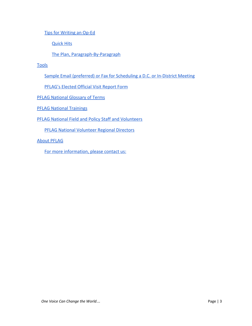[Tips for Writing an Op-Ed](#page-51-0)

[Quick Hits](#page-51-1)

[The Plan, Paragraph-By-Paragraph](#page-51-2)

**[Tools](#page-52-0)** 

[Sample Email \(preferred\) or Fax for Scheduling a D.C. or In-District Meeting](#page-52-1)

[PFLAG's Elected Official Visit Report Form](#page-54-0)

[PFLAG National Glossary of Terms](#page-56-0)

[PFLAG National Trainings](#page-63-0)

[PFLAG National Field and Policy Staff and Volunteers](#page-64-0)

PFLAG National Volunteer Regional Directors

[About PFLAG](#page-65-0)

[For more information, please contact us:](#page-65-1)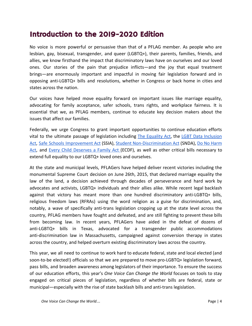# Introduction to the 2019-2020 Edition

No voice is more powerful or persuasive than that of a PFLAG member. As people who are lesbian, gay, bisexual, transgender, and queer (LGBTQ+), their parents, families, friends, and allies, we know firsthand the impact that discriminatory laws have on ourselves and our loved ones. Our stories of the pain that prejudice inflicts—and the joy that equal treatment brings—are enormously important and impactful in moving fair legislation forward and in opposing anti-LGBTQ+ bills and resolutions, whether in Congress or back home in cities and states across the nation.

Our voices have helped move equality forward on important issues like marriage equality, advocating for family acceptance, safer schools, trans rights, and workplace fairness. It is essential that we, as PFLAG members, continue to educate key decision makers about the issues that affect our families.

Federally, we urge Congress to grant important opportunities to continue education efforts vital to the ultimate passage of legislation including The [Equality](https://www.pflag.org/take-action/equality-act) Act, the LGBT Data [Inclusion](https://www.congress.gov/bill/114th-congress/house-bill/5373/text) [Act](https://www.congress.gov/bill/114th-congress/house-bill/5373/text), Safe Schools [Improvement](https://www.pflag.org/take-action/safe-schools-improvement-act-ssia) Act (SSIA), Student [Non-Discrimination](https://www.pflag.org/take-action/student-non-discrimination-act-snda) Act (SNDA), Do No [Harm](https://www.congress.gov/bill/114th-congress/house-bill/5272) [Act](https://www.congress.gov/bill/114th-congress/house-bill/5272), and Every Child [Deserves](https://www.pflag.org/resource/every-child-deserves-family-act) a Family Act (ECDF), as well as other critical bills necessary to extend full equality to our LGBTQ+ loved ones and ourselves.

At the state and municipal levels, PFLAGers have helped deliver recent victories including the monumental Supreme Court decision on June 26th, 2015, that declared marriage equality the law of the land, a decision achieved through decades of perseverance and hard work by advocates and activists, LGBTQ+ individuals and their allies alike. While recent legal backlash against that victory has meant more than one hundred discriminatory anti-LGBTQ+ bills, religious freedom laws (RFRAs) using the word religion as a guise for discrimination, and, notably, a wave of specifically anti-trans legislation cropping up at the state level across the country, PFLAG members have fought and defeated, and are still fighting to prevent these bills from becoming law. In recent years, PFLAGers have aided in the defeat of dozens of anti-LGBTQ+ bills in Texas, advocated for a transgender public accommodations anti-discrimination law in Massachusetts, campaigned against conversion therapy in states across the country, and helped overturn existing discriminatory laws across the country.

This year, we all need to continue to work hard to educate federal, state and local elected (and soon-to-be elected!) officials so that we are prepared to move pro-LGBTQ+ legislation forward, pass bills, and broaden awareness among legislators of their importance. To ensure the success of our education efforts, this year's *One Voice Can Change the World* focuses on tools to stay engaged on critical pieces of legislation, regardless of whether bills are federal, state or municipal—especially with the rise of state backlash bills and anti-trans legislation.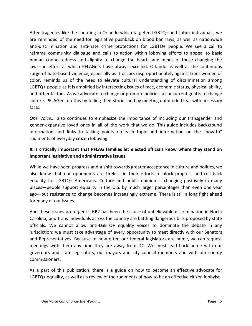After tragedies like the shooting in Orlando which targeted LGBTQ+ and Latinx individuals, we are reminded of the need for legislative pushback on blood ban laws, as well as nationwide anti-discrimination and anti-hate crime protections for LGBTQ+ people. We see a call to reframe community dialogue and calls to action within lobbying efforts to appeal to basic human connectedness and dignity to change the hearts and minds of those changing the laws--an effort at which PFLAGers have always excelled. Orlando as well as the continuous surge of hate-based violence, especially as it occurs disproportionately against trans women of color, reminds us of the need to elevate cultural understanding of discrimination among LGBTQ+ people as it is amplified by intersecting issues of race, economic status, physical ability, and other factors. As we advocate to change or promote policies, a concurrent goal is to change culture. PFLAGers do this by telling their stories and by meeting unfounded fear with necessary facts.

*One Voice...* also continues to emphasize the importance of including our transgender and gender-expansive loved ones in all of the work that we do. This guide includes background information and links to talking points on each topic and information on the "how-to" rudiments of everyday citizen lobbying.

### **It is critically important that PFLAG families let elected officials know where they stand on important legislative and administrative issues.**

While we have seen progress and a shift towards greater acceptance in culture and politics, we also know that our opponents are tireless in their efforts to block progress and roll back equality for LGBTQ+ Americans. Culture and public opinion is changing positively in many places—people support equality in the U.S. by much larger percentages than even one year ago—but resistance to change becomes increasingly extreme. There is still a long fight ahead for many of our issues.

And these issues are urgent—HB2 has been the cause of unbelievable discrimination in North Carolina, and trans individuals across the country are battling dangerous bills proposed by state officials. We cannot allow anti-LGBTQ+ equality voices to dominate the debate in any jurisdiction; we must take advantage of every opportunity to meet directly with our Senators and Representatives. Because of how often our federal legislators are home, we can request meetings with them any time they are away from DC. We must lead back home with our governors and state legislators, our mayors and city council members and with our county commissioners.

As a part of this publication, there is a guide on how to become an effective advocate for LGBTQ+ equality, as well as a review of the rudiments of how to be an effective citizen lobbyist.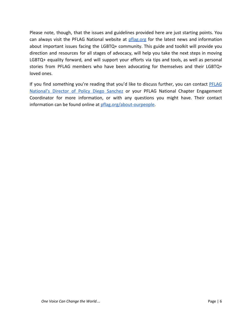Please note, though, that the issues and guidelines provided here are just starting points. You can always visit the PFLAG National website at [pflag.org](https://www.pflag.org/) for the latest news and information about important issues facing the LGBTQ+ community. This guide and toolkit will provide you direction and resources for all stages of advocacy, will help you take the next steps in moving LGBTQ+ equality forward, and will support your efforts via tips and tools, as well as personal stories from PFLAG members who have been advocating for themselves and their LGBTQ+ loved ones.

If you find something you're reading that you'd like to discuss further, you can contact [PFLAG](mailto:dsanchez@pflag.org?subject=Regarding%20ONE%20VOICE%20CAN%20CHANGE%20THE%20WORLD) [National's](mailto:dsanchez@pflag.org?subject=Regarding%20ONE%20VOICE%20CAN%20CHANGE%20THE%20WORLD) Director of Policy Diego Sanchez or your PFLAG National Chapter Engagement Coordinator for more information, or with any questions you might have. Their contact information can be found online at [pflag.org/about-ourpeople.](https://www.pflag.org/about/our-people)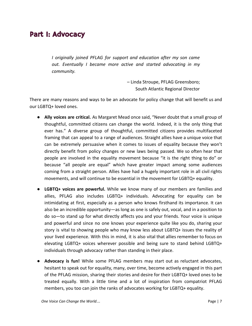# Part I: Advocacy

*I originally joined PFLAG for support and education after my son came out. Eventually I became more active and started advocating in my community.*

> – Linda Stroupe, PFLAG Greensboro; South Atlantic Regional Director

There are many reasons and ways to be an advocate for policy change that will benefit us and our LGBTQ+ loved ones.

- **Ally voices are critical.** As Margaret Mead once said, "Never doubt that a small group of thoughtful, committed citizens can change the world. Indeed, it is the only thing that ever has." A diverse group of thoughtful, committed citizens provides multifaceted framing that can appeal to a range of audiences. Straight allies have a unique voice that can be extremely persuasive when it comes to issues of equality because they won't directly benefit from policy changes or new laws being passed. We so often hear that people are involved in the equality movement because "it is the right thing to do" or because "all people are equal" which have greater impact among some audiences coming from a straight person. Allies have had a hugely important role in all civil rights movements, and will continue to be essential in the movement for LGBTQ+ equality.
- **LGBTQ+ voices are powerful.** While we know many of our members are families and allies, PFLAG also includes LGBTQ+ individuals. Advocating for equality can be intimidating at first, especially as a person who knows firsthand its importance. It can also be an incredible opportunity—as long as one is safely out, vocal, and in a position to do so—to stand up for what directly affects you and your friends. Your voice is unique and powerful and since no one knows your experience quite like you do, sharing your story is vital to showing people who may know less about LGBTQ+ issues the reality of your lived experience. With this in mind, it is also vital that allies remember to focus on elevating LGBTQ+ voices wherever possible and being sure to stand behind LGBTQ+ individuals through advocacy rather than standing in their place.
- **Advocacy is fun!** While some PFLAG members may start out as reluctant advocates, hesitant to speak out for equality, many, over time, become actively engaged in this part of the PFLAG mission, sharing their stories and desire for their LGBTQ+ loved ones to be treated equally. With a little time and a lot of inspiration from compatriot PFLAG members, you too can join the ranks of advocates working for LGBTQ+ equality.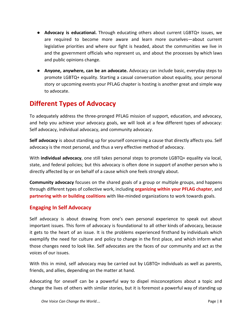- **Advocacy is educational.** Through educating others about current LGBTQ+ issues, we are required to become more aware and learn more ourselves—about current legislative priorities and where our fight is headed, about the communities we live in and the government officials who represent us, and about the processes by which laws and public opinions change.
- **Anyone, anywhere, can be an advocate.** Advocacy can include basic, everyday steps to promote LGBTQ+ equality. Starting a casual conversation about equality, your personal story or upcoming events your PFLAG chapter is hosting is another great and simple way to advocate.

# <span id="page-8-0"></span>**Different Types of Advocacy**

To adequately address the three-pronged PFLAG mission of support, education, and advocacy, and help you achieve your advocacy goals, we will look at a few different types of advocacy: Self advocacy, individual advocacy, and community advocacy.

**Self advocacy** is about standing up for yourself concerning a cause that directly affects you. Self advocacy is the most personal, and thus a very effective method of advocacy.

With **individual advocacy**, one still takes personal steps to promote LGBTQ+ equality via local, state, and federal policies; but this advocacy is often done in support of another person who is directly affected by or on behalf of a cause which one feels strongly about.

**Community advocacy** focuses on the shared goals of a group or multiple groups, and happens through different types of collective work, including **organizing within your PFLAG chapter**, and **partnering with or building coalitions** with like-minded organizations to work towards goals.

### <span id="page-8-1"></span>**Engaging In Self Advocacy**

Self advocacy is about drawing from one's own personal experience to speak out about important issues. This form of advocacy is foundational to all other kinds of advocacy, because it gets to the heart of an issue. It is the problems experienced firsthand by individuals which exemplify the need for culture and policy to change in the first place, and which inform what those changes need to look like. Self advocates are the faces of our community and act as the voices of our issues.

With this in mind, self advocacy may be carried out by LGBTQ+ individuals as well as parents, friends, and allies, depending on the matter at hand.

Advocating for oneself can be a powerful way to dispel misconceptions about a topic and change the lives of others with similar stories, but it is foremost a powerful way of standing up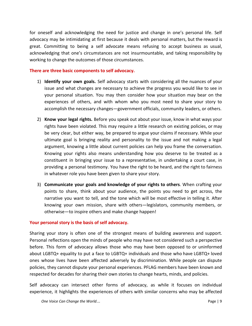for oneself and acknowledging the need for justice and change in one's personal life. Self advocacy may be intimidating at first because it deals with personal matters, but the reward is great. Committing to being a self advocate means refusing to accept business as usual, acknowledging that one's circumstances are not insurmountable, and taking responsibility by working to change the outcomes of those circumstances.

#### <span id="page-9-0"></span>**There are three basic components to self advocacy.**

- 1) **Identify your own goals.** Self advocacy starts with considering all the nuances of your issue and what changes are necessary to achieve the progress you would like to see in your personal situation. You may then consider how your situation may bear on the experiences of others, and with whom who you most need to share your story to accomplish the necessary changes—government officials, community leaders, or others.
- 2) **Know your legal rights.** Before you speak out about your issue, know in what ways your rights have been violated. This may require a little research on existing policies, or may be very clear, but either way, be prepared to argue your claims if necessary. While your ultimate goal is bringing reality and personality to the issue and not making a legal argument, knowing a little about current policies can help you frame the conversation. Knowing your rights also means understanding how you deserve to be treated as a constituent in bringing your issue to a representative, in undertaking a court case, in providing a personal testimony. You have the right to be heard, and the right to fairness in whatever role you have been given to share your story.
- 3) **Communicate your goals and knowledge of your rights to others**. When crafting your points to share, think about your audience, the points you need to get across, the narrative you want to tell, and the tone which will be most effective in telling it. After knowing your own mission, share with others—legislators, community members, or otherwise—to inspire others and make change happen!

#### <span id="page-9-1"></span>**Your personal story is the basis of self advocacy.**

Sharing your story is often one of the strongest means of building awareness and support. Personal reflections open the minds of people who may have not considered such a perspective before. This form of advocacy allows those who may have been opposed to or uninformed about LGBTQ+ equality to put a face to LGBTQ+ individuals and those who have LGBTQ+ loved ones whose lives have been affected adversely by discrimination. While people can dispute policies, they cannot dispute your personal experiences. PFLAG members have been known and respected for decades for sharing their own stories to change hearts, minds, and policies.

Self advocacy can intersect other forms of advocacy, as while it focuses on individual experience, it highlights the experiences of others with similar concerns who may be affected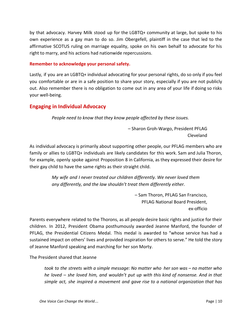by that advocacy. Harvey Milk stood up for the LGBTQ+ community at large, but spoke to his own experience as a gay man to do so. Jim Obergefell, plaintiff in the case that led to the affirmative SCOTUS ruling on marriage equality, spoke on his own behalf to advocate for his right to marry, and his actions had nationwide repercussions.

#### <span id="page-10-0"></span>**Remember to acknowledge your personal safety.**

Lastly, if you are an LGBTQ+ individual advocating for your personal rights, do so only if you feel you comfortable or are in a safe position to share your story, especially if you are not publicly out. Also remember there is no obligation to come out in any area of your life if doing so risks your well-being.

### <span id="page-10-1"></span>**Engaging in Individual Advocacy**

*People need to know that they know people affected by these issues.*

– Sharon Groh-Wargo, President PFLAG Cleveland

As individual advocacy is primarily about supporting other people, our PFLAG members who are family or allies to LGBTQ+ individuals are likely candidates for this work. Sam and Julia Thoron, for example, openly spoke against Proposition 8 in California, as they expressed their desire for their gay child to have the same rights as their straight child.

> *My wife and I never treated our children differently. We never loved them any differently, and the law shouldn't treat them differently either.*

> > – Sam Thoron, PFLAG San Francisco, PFLAG National Board President, ex-officio

Parents everywhere related to the Thorons, as all people desire basic rights and justice for their children. In 2012, President Obama posthumously awarded Jeanne Manford, the founder of PFLAG, the Presidential Citizens Medal. This medal is awarded to "whose service has had a sustained impact on others' lives and provided inspiration for others to serve." He told the story of Jeanne Manford speaking and marching for her son Morty.

The President shared that Jeanne

*took to the streets with a simple message: No matter who her son was – no matter who he loved – she loved him, and wouldn't put up with this kind of nonsense. And in that simple act, she inspired a movement and gave rise to a national organization that has*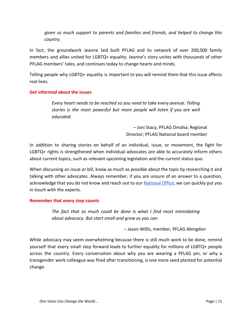*given so much support to parents and families and friends, and helped to change this country.*

In fact, the groundwork Jeanne laid built PFLAG and its network of over 200,000 family members and allies united for LGBTQ+ equality. Jeanne's story unites with thousands of other PFLAG members' tales, and continues today to change hearts and minds.

Telling people why LGBTQ+ equality is important to you will remind them that this issue affects real lives.

#### <span id="page-11-0"></span>**Get informed about the issues**

*Every heart needs to be reached so you need to take every avenue. Telling stories is the most powerful but more people will listen if you are well educated.*

> – Joni Stacy, PFLAG Omaha; Regional Director; PFLAG National board member

In addition to sharing stories on behalf of an individual, issue, or movement, the fight for LGBTQ+ rights is strengthened when individual advocates are able to accurately inform others about current topics, such as relevant upcoming legislation and the current status quo.

When discussing an issue or bill, know as much as possible about the topic by researching it and talking with other advocates. Always remember, if you are unsure of an answer to a question, acknowledge that you do not know and reach out to our [National](https://www.pflag.org/about/our-people) Office; we can quickly put you in touch with the experts.

#### <span id="page-11-1"></span>**Remember that every step counts**

*The fact that so much could be done is what I find most intimidating about advocacy. But start small and grow as you can.*

– Jason Willis, member, PFLAG Abingdon

While advocacy may seem overwhelming because there is still much work to be done, remind yourself that every small step forward leads to further equality for millions of LGBTQ+ people across the country. Every conversation about why you are wearing a PFLAG pin, or why a transgender work colleague was fired after transitioning, is one more seed planted for potential change.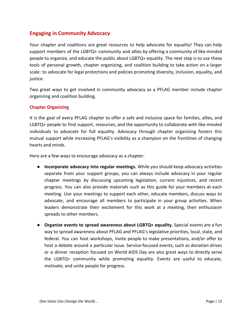### <span id="page-12-0"></span>**Engaging in Community Advocacy**

Your chapter and coalitions are great resources to help advocate for equality! They can help support members of the LGBTQ+ community and allies by offering a community of like-minded people to organize, and educate the public about LGBTQ+ equality. The next step is to use these tools of personal growth, chapter organizing, and coalition building to take action on a larger scale: to advocate for legal protections and policies promoting diversity, inclusion, equality, and justice.

Two great ways to get involved in community advocacy as a PFLAG member include chapter organizing and coalition building.

#### <span id="page-12-1"></span>**Chapter Organizing**

It is the goal of every PFLAG chapter to offer a safe and inclusive space for families, allies, and LGBTQ+ people to find support, resources, and the opportunity to collaborate with like-minded individuals to advocate for full equality. Advocacy through chapter organizing fosters this mutual support while increasing PFLAG's visibility as a champion on the frontlines of changing hearts and minds.

Here are a few ways to encourage advocacy as a chapter:

- **Incorporate advocacy into regular meetings.** While you should keep advocacy activities separate from your support groups, you can always include advocacy in your regular chapter meetings by discussing upcoming legislation, current injustices, and recent progress. You can also provide materials such as this guide for your members at each meeting. Use your meetings to support each other, educate members, discuss ways to advocate, and encourage all members to participate in your group activities. When leaders demonstrate their excitement for this work at a meeting, their enthusiasm spreads to other members.
- **● Organize events to spread awareness about LGBTQ+ equality.** Special events are a fun way to spread awareness about PFLAG and PFLAG's legislative priorities, local, state, and federal. You can host workshops, invite people to make presentations, and/or offer to host a debate around a particular issue. Service-focused events, such as donation drives or a dinner reception focused on World AIDS Day are also great ways to directly serve the LGBTQ+ community while promoting equality. Events are useful to educate, motivate, and unite people for progress.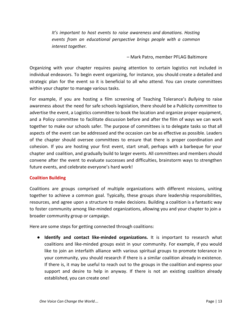*It's important to host events to raise awareness and donations. Hosting events from an educational perspective brings people with a common interest together.*

– Mark Patro, member PFLAG Baltimore

Organizing with your chapter requires paying attention to certain logistics not included in individual endeavors. To begin event organizing, for instance, you should create a detailed and strategic plan for the event so it is beneficial to all who attend. You can create committees within your chapter to manage various tasks.

For example, if you are hosting a film screening of Teaching Tolerance's *Bullying* to raise awareness about the need for safe schools legislation, there should be a Publicity committee to advertise the event, a Logistics committee to book the location and organize proper equipment, and a Policy committee to facilitate discussion before and after the film of ways we can work together to make our schools safer. The purpose of committees is to delegate tasks so that all aspects of the event can be addressed and the occasion can be as effective as possible. Leaders of the chapter should oversee committees to ensure that there is proper coordination and cohesion. If you are hosting your first event, start small, perhaps with a barbeque for your chapter and coalition, and gradually build to larger events. All committees and members should convene after the event to evaluate successes and difficulties, brainstorm ways to strengthen future events, and celebrate everyone's hard work!

#### <span id="page-13-0"></span>**Coalition Building**

Coalitions are groups comprised of multiple organizations with different missions, uniting together to achieve a common goal. Typically, these groups share leadership responsibilities, resources, and agree upon a structure to make decisions. Building a coalition is a fantastic way to foster community among like-minded organizations, allowing you and your chapter to join a broader community group or campaign.

Here are some steps for getting connected through coalitions:

● **Identify and contact like-minded organizations.** It is important to research what coalitions and like-minded groups exist in your community. For example, if you would like to join an interfaith alliance with various spiritual groups to promote tolerance in your community, you should research if there is a similar coalition already in existence. If there is, it may be useful to reach out to the groups in the coalition and express your support and desire to help in anyway. If there is not an existing coalition already established, you can create one!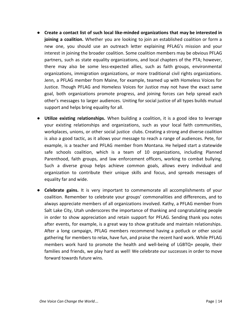- **Create a contact list of such local like-minded organizations that may be interested in joining a coalition.** Whether you are looking to join an established coalition or form a new one, you should use an outreach letter explaining PFLAG's mission and your interest in joining the broader coalition. Some coalition members may be obvious PFLAG partners, such as state equality organizations, and local chapters of the PTA; however, there may also be some less-expected allies, such as faith groups, environmental organizations, immigration organizations, or more traditional civil rights organizations. Jenn, a PFLAG member from Maine, for example, teamed up with Homeless Voices for Justice. Though PFLAG and Homeless Voices for Justice may not have the exact same goal, both organizations promote progress, and joining forces can help spread each other's messages to larger audiences. Uniting for social justice of all types builds mutual support and helps bring equality for all.
- **Utilize existing relationships.** When building a coalition, it is a good idea to leverage your existing relationships and organizations, such as your local faith communities, workplaces, unions, or other social justice clubs. Creating a strong and diverse coalition is also a good tactic, as it allows your message to reach a range of audiences. Pete, for example, is a teacher and PFLAG member from Montana. He helped start a statewide safe schools coalition, which is a team of 10 organizations, including Planned Parenthood, faith groups, and law enforcement officers, working to combat bullying. Such a diverse group helps achieve common goals, allows every individual and organization to contribute their unique skills and focus, and spreads messages of equality far and wide.
- **● Celebrate gains.** It is very important to commemorate all accomplishments of your coalition. Remember to celebrate your groups' commonalities and differences, and to always appreciate members of all organizations involved. Kathy, a PFLAG member from Salt Lake City, Utah underscores the importance of thanking and congratulating people in order to show appreciation and retain support for PFLAG. Sending thank you notes after events, for example, is a great way to show gratitude and maintain relationships. After a long campaign, PFLAG members recommend having a potluck or other social gathering for members to relax, have fun, and praise the recent hard work. While PFLAG members work hard to promote the health and well-being of LGBTQ+ people, their families and friends, we play hard as well! We celebrate our successes in order to move forward towards future wins.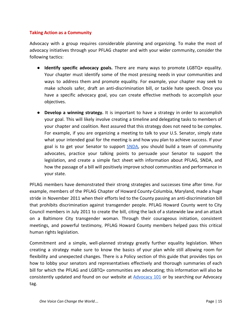#### <span id="page-15-0"></span>**Taking Action as a Community**

Advocacy with a group requires considerable planning and organizing. To make the most of advocacy initiatives through your PFLAG chapter and with your wider community, consider the following tactics:

- **Identify specific advocacy goals.** There are many ways to promote LGBTQ+ equality. Your chapter must identify some of the most pressing needs in your communities and ways to address them and promote equality. For example, your chapter may seek to make schools safer, draft an anti-discrimination bill, or tackle hate speech. Once you have a specific advocacy goal, you can create effective methods to accomplish your objectives.
- **Develop a winning strategy.** It is important to have a strategy in order to accomplish your goal. This will likely involve creating a timeline and delegating tasks to members of your chapter and coalition. Rest assured that this strategy does not need to be complex. For example, if you are organizing a meeting to talk to your U.S. Senator, simply state what your intended goal for the meeting is and how you plan to achieve success. If your goal is to get your Senator to support **SNDA**, you should build a team of community advocates, practice your talking points to persuade your Senator to support the legislation, and create a simple fact sheet with information about PFLAG, SNDA, and how the passage of a bill will positively improve school communities and performance in your state.

PFLAG members have demonstrated their strong strategies and successes time after time. For example, members of the PFLAG Chapter of Howard County-Columbia, Maryland, made a huge stride in November 2011 when their efforts led to the County passing an anti-discrimination bill that prohibits discrimination against transgender people. PFLAG Howard County went to City Council members in July 2011 to create the bill, citing the lack of a statewide law and an attack on a Baltimore City transgender woman. Through their courageous initiation, consistent meetings, and powerful testimony, PFLAG Howard County members helped pass this critical human rights legislation.

Commitment and a simple, well-planned strategy greatly further equality legislation. When creating a strategy make sure to know the basics of your plan while still allowing room for flexibility and unexpected changes. There is a Policy section of this guide that provides tips on how to lobby your senators and representatives effectively and thorough summaries of each bill for which the PFLAG and LGBTQ+ communities are advocating; this information will also be consistently updated and found on our website at **[Advocacy](https://www.pflag.org/advocacy-101) 101** or by searching our Advocacy tag.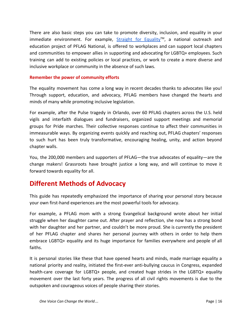There are also basic steps you can take to promote diversity, inclusion, and equality in your immediate environment. For example,  $Strajcht$  for [Equality](http://www.straightforequality.org/)<sup>TM</sup>, a national outreach and education project of PFLAG National, is offered to workplaces and can support local chapters and communities to empower allies in supporting and advocating for LGBTQ+ employees. Such training can add to existing policies or local practices, or work to create a more diverse and inclusive workplace or community in the absence of such laws.

#### <span id="page-16-0"></span>**Remember the power of community efforts**

The equality movement has come a long way in recent decades thanks to advocates like you! Through support, education, and advocacy, PFLAG members have changed the hearts and minds of many while promoting inclusive legislation.

For example, after the Pulse tragedy in Orlando, over 60 PFLAG chapters across the U.S. held vigils and interfaith dialogues and fundraisers, organized support meetings and memorial groups for Pride marches. Their collective responses continue to affect their communities in immeasurable ways. By organizing events quickly and reaching out, PFLAG chapters' responses to such hurt has been truly transformative, encouraging healing, unity, and action beyond chapter walls.

You, the 200,000 members and supporters of PFLAG—the true advocates of equality—are the change makers! Grassroots have brought justice a long way, and will continue to move it forward towards equality for all.

# <span id="page-16-1"></span>**Different Methods of Advocacy**

This guide has repeatedly emphasized the importance of sharing your personal story because your own first-hand experiences are the most powerful tools for advocacy.

For example, a PFLAG mom with a strong Evangelical background wrote about her initial struggle when her daughter came out. After prayer and reflection, she now has a strong bond with her daughter and her partner, and couldn't be more proud. She is currently the president of her PFLAG chapter and shares her personal journey with others in order to help them embrace LGBTQ+ equality and its huge importance for families everywhere and people of all faiths.

It is personal stories like these that have opened hearts and minds, made marriage equality a national priority and reality, initiated the first-ever anti-bullying caucus in Congress, expanded health-care coverage for LGBTQ+ people, and created huge strides in the LGBTQ+ equality movement over the last forty years. The progress of all civil rights movements is due to the outspoken and courageous voices of people sharing their stories.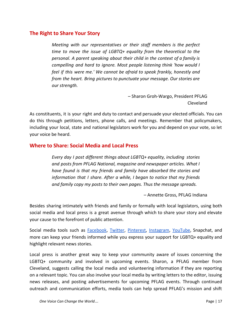### <span id="page-17-0"></span>**The Right to Share Your Story**

*Meeting with our representatives or their staff members is the perfect time to move the issue of LGBTQ+ equality from the theoretical to the personal. A parent speaking about their child in the context of a family is compelling and hard to ignore. Most people listening think 'how would I feel if this were me.' We cannot be afraid to speak frankly, honestly and from the heart. Bring pictures to punctuate your message. Our stories are our strength.*

> – Sharon Groh-Wargo, President PFLAG Cleveland

As constituents, it is your right and duty to contact and persuade your elected officials. You can do this through petitions, letters, phone calls, and meetings. Remember that policymakers, including your local, state and national legislators work for you and depend on your vote, so let your voice be heard.

### <span id="page-17-1"></span>**Where to Share: Social Media and Local Press**

*Every day I post different things about LGBTQ+ equality, including stories and posts from PFLAG National, magazine and newspaper articles. What I have found is that my friends and family have absorbed the stories and information that I share. After a while, I began to notice that my friends and family copy my posts to their own pages. Thus the message spreads.*

– Annette Gross, PFLAG Indiana

Besides sharing intimately with friends and family or formally with local legislators, using both social media and local press is a great avenue through which to share your story and elevate your cause to the forefront of public attention.

Social media tools such as **[Facebook,](http://www.facebook.com/pflag) [Twitter](https://twitter.com/pflag), [Pinterest](http://www.pinterest.com/pflag), [Instagram](http://www.instagram.com/pflagnational)**, [YouTube](http://www.youtube.com/pflagnational), Snapchat, and more can keep your friends informed while you express your support for LGBTQ+ equality and highlight relevant news stories.

Local press is another great way to keep your community aware of issues concerning the LGBTQ+ community and involved in upcoming events. Sharon, a PFLAG member from Cleveland, suggests calling the local media and volunteering information if they are reporting on a relevant topic. You can also involve your local media by writing letters to the editor, issuing news releases, and posting advertisements for upcoming PFLAG events. Through continued outreach and communication efforts, media tools can help spread PFLAG's mission and shift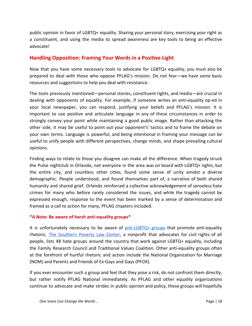public opinion in favor of LGBTQ+ equality. Sharing your personal story, exercising your right as a constituent, and using the media to spread awareness are key tools to being an effective advocate!

### **Handling Opposition: Framing Your Words in a Positive Light**

Now that you have some necessary tools to advocate for LGBTQ+ equality, you must also be prepared to deal with those who oppose PFLAG's mission. Do not fear—we have some basic resources and suggestions to help you deal with resistance.

The tools previously mentioned—personal stories, constituent rights, and media—are crucial in dealing with opponents of equality. For example, if someone writes an anti-equality op-ed in your local newspaper, you can respond, justifying your beliefs and PFLAG's mission. It is important to use positive and articulate language in any of these circumstances in order to strongly convey your point while maintaining a good public image. Rather than attacking the other side, it may be useful to point out your opponent's' tactics and to frame the debate on your own terms. Language is powerful, and being intentional in framing your message can be useful to unify people with different perspectives, change minds, and shape prevailing cultural opinions.

Finding ways to relate to those you disagree can make all the difference. When tragedy struck the Pulse nightclub in Orlando, not everyone in the area was on board with LGBTQ+ rights, but the entire city, and countless other cities, found some sense of unity amidst a diverse demographic. People understood, and found themselves part of, a narrative of both shared humanity and shared grief. Orlando reinforced a collective acknowledgement of senseless hate crimes for many who before rarely considered the issues, and while the tragedy cannot be expressed enough, response to the event has been marked by a sense of determination and framed as a call to action for many, PFLAG chapters included.

#### <span id="page-18-0"></span>**\*A Note: Be aware of harsh anti-equality groups\***

It is unfortunately necessary to be aware of  $anti$ -GBTQ+ groups that promote anti-equality rhetoric. The [Southern](https://www.splcenter.org/) Poverty Law Center, a nonprofit that advocates for civil rights of all people, lists 48 hate groups around the country that work against LGBTQ+ equality, including the Family Research Council and Traditional Values Coalition. Other anti-equality groups often at the forefront of hurtful rhetoric and action include the National Organization for Marriage (NOM) and Parents and Friends of Ex-Gays and Gays (PFOX).

If you ever encounter such a group and feel that they pose a risk, do not confront them directly, but rather notify PFLAG National immediately. As PFLAG and other equality organizations continue to advocate and make strides in public opinion and policy, these groups will hopefully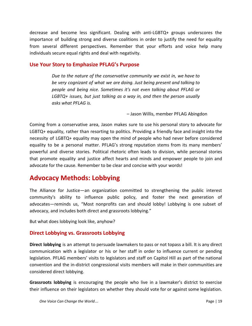decrease and become less significant. Dealing with anti-LGBTQ+ groups underscores the importance of building strong and diverse coalitions in order to justify the need for equality from several different perspectives. Remember that your efforts and voice help many individuals secure equal rights and deal with negativity.

### <span id="page-19-0"></span>**Use Your Story to Emphasize PFLAG's Purpose**

*Due to the nature of the conservative community we exist in, we have to be very cognizant of what we are doing. Just being present and talking to people and being nice. Sometimes it's not even talking about PFLAG or LGBTQ+ issues, but just talking as a way in, and then the person usually asks what PFLAG is.*

– Jason Willis, member PFLAG Abingdon

Coming from a conservative area, Jason makes sure to use his personal story to advocate for LGBTQ+ equality, rather than resorting to politics. Providing a friendly face and insight into the necessity of LGBTQ+ equality may open the mind of people who had never before considered equality to be a personal matter. PFLAG's strong reputation stems from its many members' powerful and diverse stories. Political rhetoric often leads to division, while personal stories that promote equality and justice affect hearts and minds and empower people to join and advocate for the cause. Remember to be clear and concise with your words!

# <span id="page-19-1"></span>**Advocacy Methods: Lobbying**

The Alliance for Justice—an organization committed to strengthening the public interest community's ability to influence public policy, and foster the next generation of advocates—reminds us, "Most nonprofits can and should lobby! Lobbying is one subset of advocacy, and includes both direct and grassroots lobbying."

But what does lobbying look like, anyhow?

### <span id="page-19-2"></span>**Direct Lobbying vs. Grassroots Lobbying**

**Direct lobbying** is an attempt to persuade lawmakers to pass or not topass a bill. It is any direct communication with a legislator or his or her staff in order to influence current or pending legislation. PFLAG members' visits to legislators and staff on Capitol Hill as part of the national convention and the in-district congressional visits members will make in their communities are considered direct lobbying.

**Grassroots lobbying** is encouraging the people who live in a lawmaker's district to exercise their influence on their legislators on whether they should vote for or against some legislation.

*One Voice Can Change the World*… Page | 19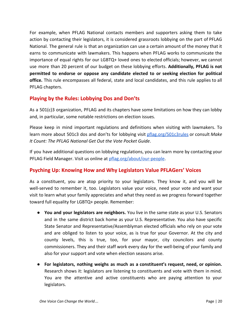For example, when PFLAG National contacts members and supporters asking them to take action by contacting their legislators, it is considered grassroots lobbying on the part of PFLAG National. The general rule is that an organization can use a certain amount of the money that it earns to communicate with lawmakers. This happens when PFLAG works to communicate the importance of equal rights for our LGBTQ+ loved ones to elected officials; however, we cannot use more than 20 percent of our budget on these lobbying efforts. **Additionally, PFLAG is not permitted to endorse or oppose any candidate elected to or seeking election for political office.** This rule encompasses all federal, state and local candidates, and this rule applies to all PFLAG chapters.

# <span id="page-20-0"></span>**Playing by the Rules: Lobbying Dos and Don'ts**

As a 501(c)3 organization, PFLAG and its chapters have some limitations on how they can lobby and, in particular, some notable restrictions on election issues.

Please keep in mind important regulations and definitions when visiting with lawmakers. To learn more about 501c3 dos and don'ts for lobbying visit [pflag.org/501c3rules](https://www.pflag.org/resource/501c3rules) or consult *Make It Count: The PFLAG National Get Out the Vote Pocket Guide*.

If you have additional questions on lobbying regulations, you can learn more by contacting your PFLAG Field Manager. Visit us online at [pflag.org/about/our-people](https://www.pflag.org/about/our-people).

# <span id="page-20-1"></span>**Psyching Up: Knowing How and Why Legislators Value PFLAGers' Voices**

As a constituent, you are atop priority to your legislators. They know it, and you will be well-served to remember it, too. Legislators value your voice, need your vote and want your visit to learn what your family appreciates and what they need as we progress forward together toward full equality for LGBTQ+ people. Remember:

- **You and your legislators are neighbors.** You live in the same state as your U.S. Senators and in the same district back home as your U.S. Representative. You also have specific State Senator and Representative/Assemblyman elected officials who rely on your vote and are obliged to listen to your voice, as is true for your Governor. At the city and county levels, this is true, too, for your mayor, city councilors and county commissioners. They and their staff work every day for the well-being of your family and also for your support and vote when election seasons arise.
- **For legislators, nothing weighs as much as a constituent's request, need, or opinion.** Research shows it: legislators are listening to constituents and vote with them in mind. You are the attentive and active constituents who are paying attention to your legislators.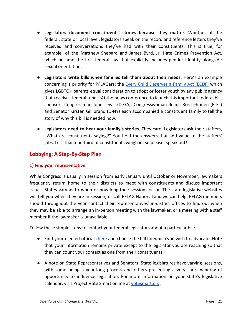- **Legislators document constituents' stories because they matter.** Whether at the federal, state or local level, legislators speak on the record and reference letters they've received and conversations they've had with their constituents. This is true, for example, of the Matthew Shepard and James Byrd, Jr. Hate Crimes Prevention Act, which became the first federal law that explicitly includes gender identity alongside sexual orientation.
- **Legislators write bills when families tell them about their needs.** Here's an example concerning a priority for PFLAGers: the Every Child [Deserves](https://www.pflag.org/resource/every-child-deserves-family-act) a Family Act (ECDF) which gives LGBTQ+ parents equal consideration to adopt or foster youth by any public agency that receives federal funds. At the news conference to launch this important federal bill, sponsors Congressman John Lewis (D-GA), Congresswoman Ileana Ros-Lehtinen (R-FL) and Senator Kirsten Gillibrand (D-NY) each accompanied a constituent family to tell the story of why this bill is needed now.
- **Legislators need to hear your family's stories.** They care. Legislators ask their staffers, "What are constituents saying?" You hold the answers that add value to the staffers' jobs. Less than one third of constituents weigh in, so please, speak out!

### <span id="page-21-0"></span>**Lobbying: A Step-By-Step Plan**

#### <span id="page-21-1"></span>**1) Find your representative.**

While Congress is usually in session from early January until October or November, lawmakers frequently return home to their districts to meet with constituents and discuss important issues. States vary as to when or how long their sessions occur. The state legislative websites will tell you when they are in session, or call PFLAG National and we can help. PFLAG members should throughout the year contact their representatives' in-district offices to find out when they may be able to arrange an in-person meeting with the lawmaker, or a meeting with a staff member if the lawmaker is unavailable.

Follow these simple steps to contact your federal legislators about a particular bill:

- Find your elected officials [here](https://salsa4.salsalabs.com/o/51615/getLocal.jsp) and choose the bill for which you wish to advocate. Note that your information remains private except to the legislator you are reaching so that they can count your contact as one from their constituents.
- A note on State Representatives and Senators: State legislatures have varying sessions, with some being a year-long process and others presenting a very short window of opportunity to influence legislation. For more information on your state's legislative calendar, visit Project Vote Smart online at [votesmart.org.](http://votesmart.org/)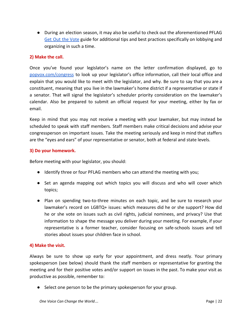● During an election season, it may also be useful to check out the aforementioned PFLAG Get Out the [Vote](https://www.pflag.org/document/make-it-count-pflag-national-get-out-vote-pocket-guide) guide for additional tips and best practices specifically on lobbying and organizing in such a time.

#### <span id="page-22-0"></span>**2) Make the call.**

Once you've found your legislator's name on the letter confirmation displayed, go to [popvox.com/congress](https://www.popvox.com/congress) to look up your legislator's office information, call their local office and explain that you would like to meet with the legislator, and why. Be sure to say that you are a constituent, meaning that you live in the lawmaker's home district if a representative or state if a senator. That will signal the legislator's scheduler priority consideration on the lawmaker's calendar. Also be prepared to submit an official request for your meeting, either by fax or email.

Keep in mind that you may not receive a meeting with your lawmaker, but may instead be scheduled to speak with staff members. Staff members make critical decisions and advise your congressperson on important issues. Take the meeting seriously and keep in mind that staffers are the "eyes and ears" of your representative or senator, both at federal and state levels.

### <span id="page-22-1"></span>**3) Do your homework.**

Before meeting with your legislator, you should:

- Identify three or four PFLAG members who can attend the meeting with you;
- Set an agenda mapping out which topics you will discuss and who will cover which topics;
- Plan on spending two-to-three minutes on each topic, and be sure to research your lawmaker's record on LGBTQ+ issues: which measures did he or she support? How did he or she vote on issues such as civil rights, judicial nominees, and privacy? Use that information to shape the message you deliver during your meeting. For example, if your representative is a former teacher, consider focusing on safe-schools issues and tell stories about issues your children face in school.

#### <span id="page-22-2"></span>**4) Make the visit.**

Always be sure to show up early for your appointment, and dress neatly. Your primary spokesperson (see below) should thank the staff members or representative for granting the meeting and for their positive votes and/or support on issues in the past. To make your visit as productive as possible, remember to:

● Select one person to be the primary spokesperson for your group.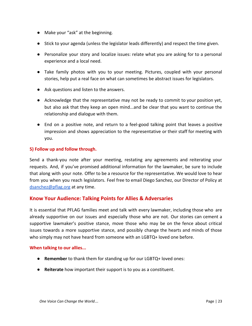- Make your "ask" at the beginning.
- Stick to your agenda (unless the legislator leads differently) and respect the time given.
- Personalize your story and localize issues: relate what you are asking for to a personal experience and a local need.
- Take family photos with you to your meeting. Pictures, coupled with your personal stories, help put a real face on what can sometimes be abstract issues for legislators.
- Ask questions and listen to the answers.
- Acknowledge that the representative may not be ready to commit to your position yet, but also ask that they keep an open mind...and be clear that you want to continue the relationship and dialogue with them.
- End on a positive note, and return to a feel-good talking point that leaves a positive impression and shows appreciation to the representative or their staff for meeting with you.

#### <span id="page-23-0"></span>**5) Follow up and follow through.**

Send a thank-you note after your meeting, restating any agreements and reiterating your requests. And, if you've promised additional information for the lawmaker, be sure to include that along with your note. Offer to be a resource for the representative. We would love to hear from you when you reach legislators. Feel free to email Diego Sanchez, our Director of Policy at [dsanchez@pflag.org](mailto:dsanchez@pflag.org) at any time.

#### <span id="page-23-1"></span>**Know Your Audience: Talking Points for Allies & Adversaries**

It is essential that PFLAG families meet and talk with every lawmaker, including those who are already supportive on our issues and especially those who are not. Our stories can cement a supportive lawmaker's positive stance, move those who may be on the fence about critical issues towards a more supportive stance, and possibly change the hearts and minds of those who simply may not have heard from someone with an LGBTQ+ loved one before.

#### <span id="page-23-2"></span>**When talking to our allies...**

- **Remember** to thank them for standing up for our LGBTQ+ loved ones:
- **Reiterate** how important their support is to you as a constituent.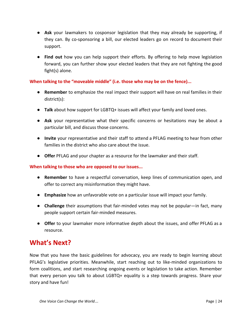- **Ask** your lawmakers to cosponsor legislation that they may already be supporting, if they can. By co-sponsoring a bill, our elected leaders go on record to document their support.
- **Find out** how you can help support their efforts. By offering to help move legislation forward, you can further show your elected leaders that they are not fighting the good fight(s) alone.

#### <span id="page-24-0"></span>**When talking to the "moveable middle" (i.e. those who may be on the fence)...**

- **Remember** to emphasize the real impact their support will have on real families in their district(s):
- **Talk** about how support for LGBTQ+ issues will affect your family and loved ones.
- **Ask** your representative what their specific concerns or hesitations may be about a particular bill, and discuss those concerns.
- **Invite** your representative and their staff to attend a PFLAG meeting to hear from other families in the district who also care about the issue.
- **Offer** PFLAG and your chapter as a resource for the lawmaker and their staff.

#### **When talking to those who are opposed to our issues...**

- **Remember** to have a respectful conversation, keep lines of communication open, and offer to correct any misinformation they might have.
- **Emphasize** how an unfavorable vote on a particular issue will impact your family.
- **Challenge** their assumptions that fair-minded votes may not be popular—in fact, many people support certain fair-minded measures.
- **Offer** to your lawmaker more informative depth about the issues, and offer PFLAG as a resource.

# <span id="page-24-1"></span>**What's Next?**

Now that you have the basic guidelines for advocacy, you are ready to begin learning about PFLAG's legislative priorities. Meanwhile, start reaching out to like-minded organizations to form coalitions, and start researching ongoing events or legislation to take action. Remember that every person you talk to about LGBTQ+ equality is a step towards progress. Share your story and have fun!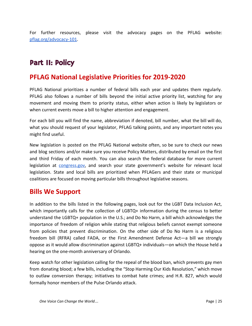For further resources, please visit the advocacy pages on the PFLAG website: [pflag.org/advocacy-101.](https://www.pflag.org/advocacy-101)

# Part II: Policy

# <span id="page-25-0"></span>**PFLAG National Legislative Priorities for 2019-2020**

PFLAG National prioritizes a number of federal bills each year and updates them regularly. PFLAG also follows a number of bills beyond the initial active priority list, watching for any movement and moving them to priority status, either when action is likely by legislators or when current events move a bill to higher attention and engagement.

For each bill you will find the name, abbreviation if denoted, bill number, what the bill will do, what you should request of your legislator, PFLAG talking points, and any important notes you might find useful.

New legislation is posted on the PFLAG National website often, so be sure to check our news and blog sections and/or make sure you receive Policy Matters, distributed by email on the first and third Friday of each month. You can also search the federal database for more current legislation at [congress.gov](https://www.congress.gov/), and search your state government's website for relevant local legislation. State and local bills are prioritized when PFLAGers and their state or municipal coalitions are focused on moving particular bills throughout legislative seasons.

# <span id="page-25-1"></span>**Bills We Support**

In addition to the bills listed in the following pages, look out for the LGBT Data Inclusion Act, which importantly calls for the collection of LGBTQ+ information during the census to better understand the LGBTQ+ population in the U.S.; and Do No Harm, a bill which acknowledges the importance of freedom of religion while stating that religious beliefs cannot exempt someone from policies that prevent discrimination. On the other side of Do No Harm is a religious freedom bill (RFRA) called FADA, or the First Amendment Defense Act—a bill we strongly oppose as it would allow discrimination against LGBTQ+ individuals—on which the House held a hearing on the one-month anniversary of Orlando.

Keep watch for other legislation calling for the repeal of the blood ban, which prevents gay men from donating blood; a few bills, including the "Stop Harming Our Kids Resolution," which move to outlaw conversion therapy; initiatives to combat hate crimes; and H.R. 827, which would formally honor members of the Pulse Orlando attack.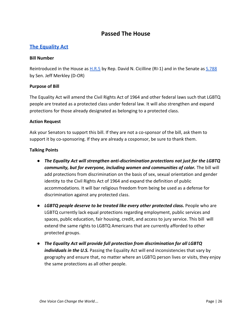# **Passed The House**

# **The [Equality](https://www.pflag.org/take-action/equality-act) Act**

#### **Bill Number**

Reintroduced in the House as **[H.R.5](https://www.congress.gov/bill/116th-congress/house-bill/5)** by Rep. David N. Cicilline (RI-1) and in the Senate as **S.788** by Sen. Jeff Merkley (D-OR)

#### **Purpose of Bill**

The Equality Act will amend the Civil Rights Act of 1964 and other federal laws such that LGBTQ people are treated as a protected class under federal law. It will also strengthen and expand protections for those already designated as belonging to a protected class.

#### **Action Request**

Ask your Senators to support this bill. If they are not a co-sponsor of the bill, ask them to support it by co-sponsoring. If they are already a cosponsor, be sure to thank them.

- *The Equality Act will strengthen anti-discrimination protections not just for the LGBTQ community, but for everyone, including women and communities of color.* The bill will add protections from discrimination on the basis of sex, sexual orientation and gender identity to the Civil Rights Act of 1964 and expand the definition of public accommodations. It will bar religious freedom from being be used as a defense for discrimination against any protected class.
- **LGBTQ people deserve to be treated like every other protected class.** People who are LGBTQ currently lack equal protections regarding employment, public services and spaces, public education, fair housing, credit, and access to jury service. This bill will extend the same rights to LGBTQ Americans that are currently afforded to other protected groups.
- *The Equality Act will provide full protection from discrimination for all LGBTQ individuals in the U.S.* Passing the Equality Act will end inconsistencies that vary by geography and ensure that, no matter where an LGBTQ person lives or visits, they enjoy the same protections as all other people.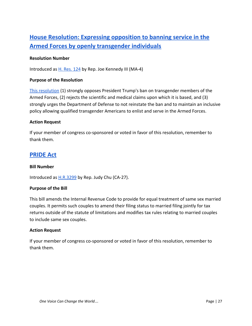# **House [Resolution:](https://www.congress.gov/bill/116th-congress/house-resolution/124?q=%7B%22search%22%3A%5B%22H.+Res.+124%22%5D%7D&s=3&r=1) Expressing opposition to banning service in the Armed Forces by openly [transgender](https://www.congress.gov/bill/116th-congress/house-resolution/124?q=%7B%22search%22%3A%5B%22H.+Res.+124%22%5D%7D&s=3&r=1) individuals**

#### **Resolution Number**

Introduced as [H. Res. 124](https://www.congress.gov/bill/116th-congress/house-resolution/124?q=%7B%22search%22%3A%5B%22H.+Res.+124%22%5D%7D&s=3&r=1) by Rep. Joe Kennedy III (MA-4)

#### **Purpose of the Resolution**

[This resolution](https://kennedy.house.gov/newsroom/press-releases/kennedy-intros-resolution-rejecting-trump-military-trans-ban) (1) strongly opposes President Trump's ban on transgender members of the Armed Forces, (2) rejects the scientific and medical claims upon which it is based, and (3) strongly urges the Department of Defense to not reinstate the ban and to maintain an inclusive policy allowing qualified transgender Americans to enlist and serve in the Armed Forces.

#### **Action Request**

If your member of congress co-sponsored or voted in favor of this resolution, remember to thank them.

# **[PRIDE](https://www.speaker.gov/newsroom/72419-3/) Act**

#### **Bill Number**

Introduced as **[H.R.3299](https://www.congress.gov/bill/116th-congress/house-bill/3299)** by Rep. Judy Chu (CA-27).

#### **Purpose of the Bill**

This bill amends the Internal Revenue Code to provide for equal treatment of same sex married couples. It permits such couples to amend their filing status to married filing jointly for tax returns outside of the statute of limitations and modifies tax rules relating to married couples to include same sex couples.

#### **Action Request**

If your member of congress co-sponsored or voted in favor of this resolution, remember to thank them.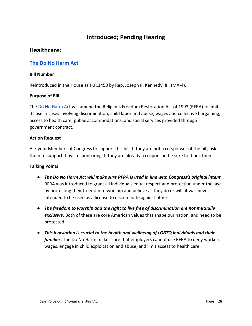# **Introduced; Pending Hearing**

# **Healthcare:**

### **The Do No [Harm](https://www.congress.gov/bill/116th-congress/house-bill/1450/text) Act**

#### **Bill Number**

Reintroduced in the House as H.R.1450 by Rep. Joseph P. Kennedy, III. (MA-4).

#### **Purpose of Bill**

The [Do No Harm Act](https://kennedy.house.gov/newsroom/press-releases/kennedy-scott-harris-reintroduce-bill-to-amend-religious-freedom-restoration-act) will amend the Religious Freedom Restoration Act of 1993 (RFRA) to limit its use in cases involving discrimination, child labor and abuse, wages and collective bargaining, access to health care, public accommodations, and social services provided through government contract.

#### **Action Request**

Ask your Members of Congress to support this bill. If they are not a co-sponsor of the bill, ask them to support it by co-sponsoring. If they are already a cosponsor, be sure to thank them.

- *The Do No Harm Act will make sure RFRA is used in line with Congress's original intent.* RFRA was introduced to grant all individuals equal respect and protection under the law by protecting their freedom to worship and believe as they do or will; it was never intended to be used as a license to discriminate against others.
- *● The freedom to worship and the right to live free of discrimination are not mutually exclusive.* Both of these are core American values that shape our nation, and need to be protected.
- *● This legislation is crucial to the health and wellbeing of LGBTQ individuals and their families.* The Do No Harm makes sure that employers cannot use RFRA to deny workers wages, engage in child exploitation and abuse, and limit access to health care.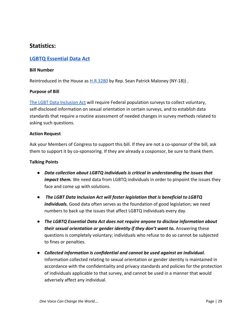# **Statistics:**

### **LGBTQ [Essential](https://www.congress.gov/bill/116th-congress/house-bill/3280?q=%7B%22search%22%3A%5B%22LGBTQ+Essential+Data+Act%22%5D%7D&s=5&r=1) Data Act**

#### **Bill Number**

Reintroduced in the House as  $H.R.3280$  by Rep. Sean Patrick Maloney (NY-18)).

#### **Purpose of Bill**

[The LGBT Data Inclusion Act](https://seanmaloney.house.gov/media-center/press-releases/maloney-introduces-lgbtq-essential-data-act-to-combat-deadly-violence) will require Federal population surveys to collect voluntary, self-disclosed information on sexual orientation in certain surveys, and to establish data standards that require a routine assessment of needed changes in survey methods related to asking such questions.

#### **Action Request**

Ask your Members of Congress to support this bill. If they are not a co-sponsor of the bill, ask them to support it by co-sponsoring. If they are already a cosponsor, be sure to thank them.

- *Data collection about LGBTQ individuals is critical in understanding the issues that impact them.* We need data from LGBTQ individuals in order to pinpoint the issues they face and come up with solutions.
- *The LGBT Data Inclusion Act will foster legislation that is beneficial to LGBTQ individuals.* Good data often serves as the foundation of good legislation; we need numbers to back up the issues that affect LGBTQ individuals every day.
- *The LGBTQ Essential Data Act does not require anyone to disclose information about* their sexual orientation or gender identity if they don't want to. Answering these questions is completely voluntary; individuals who refuse to do so cannot be subjected to fines or penalties.
- *● Collected information is confidential and cannot be used against an individual.* Information collected relating to sexual orientation or gender identity is maintained in accordance with the confidentiality and privacy standards and policies for the protection of individuals applicable to that survey, and cannot be used in a manner that would adversely affect any individual.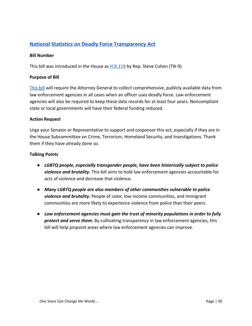# **National Statistics on Deadly Force [Transparency](https://www.pflag.org/take-action/national-statistics-deadly-force-transparency-act) Act**

#### **Bill Number**

This bill was introduced in the House as **[H.R.119](https://www.congress.gov/bill/116th-congress/house-bill/119)** by Rep. Steve Cohen (TN-9).

#### **Purpose of Bill**

[This bill](https://cohen.house.gov/media-center/press-releases/congressman-cohen-introduces-criminal-justice-and-voter-protection-bills) will require the Attorney General to collect comprehensive, publicly available data from law enforcement agencies in all cases when an officer uses deadly force. Law enforcement agencies will also be required to keep these data records for at least four years. Noncompliant state or local governments will have their federal funding reduced.

#### **Action Request**

Urge your Senator or Representative to support and cosponsor this act, especially if they are in the House Subcommittee on Crime, Terrorism, Homeland Security, and Investigations. Thank them if they have already done so.

- *LGBTQ people, especially transgender people, have been historically subject to police violence and brutality.* This bill aims to hold law enforcement agencies accountable for acts of violence and decrease that violence.
- *Many LGBTQ people are also members of other communities vulnerable to police violence and brutality.* People of color, low income communities, and immigrant communities are more likely to experience violence from police than their peers.
- *Law enforcement agencies must gain the trust of minority populations in order to fully protect and serve them.* By cultivating transparency in law enforcement agencies, this bill will help pinpoint areas where law enforcement agencies can improve.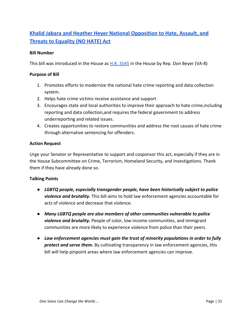# **Khalid Jabara and Heather Heyer National [Opposition](https://www.aaiusa.org/aai_welcomes_introduction_of_khalid_jabara_and_heather_heyer_no_hate_act) to Hate, Assault, and Threats to [Equality](https://www.aaiusa.org/aai_welcomes_introduction_of_khalid_jabara_and_heather_heyer_no_hate_act) (NO HATE) Act**

#### **Bill Number**

This bill was introduced in the House as [H.R. 3545](https://www.congress.gov/bill/116th-congress/house-bill/3545?q=%7B%22search%22%3A%5B%22HR+3545%22%5D%7D&s=1&r=1) in the House by Rep. Don Beyer (VA-8)

#### **Purpose of Bill**

- 1. Promotes efforts to modernize the national hate crime reporting and data collection system.
- 2. Helps hate crime victims receive assistance and support
- 3. Encourages state and local authorities to improve their approach to hate crime,including reporting and data collection,and requires the federal government to address underreporting and related issues.
- 4. Creates opportunities to restore communities and address the root causes of hate crime through alternative sentencing for offenders.

#### **Action Request**

Urge your Senator or Representative to support and cosponsor this act, especially if they are in the House Subcommittee on Crime, Terrorism, Homeland Security, and Investigations. Thank them if they have already done so.

- *LGBTQ people, especially transgender people, have been historically subject to police violence and brutality.* This bill aims to hold law enforcement agencies accountable for acts of violence and decrease that violence.
- *Many LGBTQ people are also members of other communities vulnerable to police violence and brutality.* People of color, low income communities, and immigrant communities are more likely to experience violence from police than their peers.
- *Law enforcement agencies must gain the trust of minority populations in order to fully protect and serve them.* By cultivating transparency in law enforcement agencies, this bill will help pinpoint areas where law enforcement agencies can improve.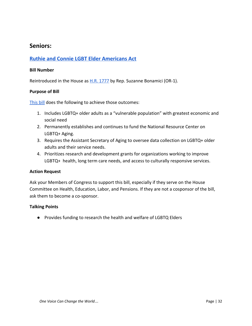# **Seniors:**

### **Ruthie and Connie LGBT Elder [Americans](https://www.congress.gov/bill/116th-congress/house-bill/1777?q=%7B%22search%22%3A%5B%22LGBT+Elder+Americans+Act%22%5D%7D&s=4&r=1) Act**

#### **Bill Number**

Reintroduced in the House as  $H.R. 1777$  by Rep. Suzanne Bonamici (OR-1).

#### **Purpose of Bill**

[This bill](https://bonamici.house.gov/sites/bonamici.house.gov/files/documents/171102LGBTElders_summary.pdf) does the following to achieve those outcomes:

- 1. Includes LGBTQ+ older adults as a "vulnerable population" with greatest economic and social need
- 2. Permanently establishes and continues to fund the National Resource Center on LGBTQ+ Aging.
- 3. Requires the Assistant Secretary of Aging to oversee data collection on LGBTQ+ older adults and their service needs.
- 4. Prioritizes research and development grants for organizations working to improve LGBTQ+ health, long term care needs, and access to culturally responsive services.

#### **Action Request**

Ask your Members of Congress to support this bill, especially if they serve on the House Committee on Health, Education, Labor, and Pensions. If they are not a cosponsor of the bill, ask them to become a co-sponsor.

#### **Talking Points**

● Provides funding to research the health and welfare of LGBTQ Elders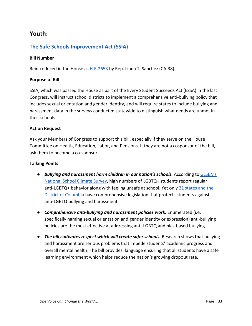# **Youth:**

### **The Safe Schools [Improvement](https://www.pflag.org/take-action/safe-schools-improvement-act-ssia) Act (SSIA)**

#### **Bill Number**

Reintroduced in the House as **H.R.2653** by Rep. Linda T. Sanchez (CA-38).

#### **Purpose of Bill**

SSIA, which was passed the House as part of the Every Student Succeeds Act (ESSA) in the last Congress, will instruct school districts to implement a comprehensive anti-bullying policy that includes sexual orientation and gender identity, and will require states to include bullying and harassment data in the surveys conducted statewide to distinguish what needs are unmet in their schools.

#### **Action Request**

Ask your Members of Congress to support this bill, especially if they serve on the House Committee on Health, Education, Labor, and Pensions. If they are not a cosponsor of the bill, ask them to become a co-sponsor.

- *Bullying and harassment harm children in our nation's schools.* According to [GLSEN's](https://www.glsen.org/sites/default/files/2015%20National%20GLSEN%202015%20National%20School%20Climate%20Survey%20%28NSCS%29%20-%20Full%20Report_0.pdf) [National School Climate Survey,](https://www.glsen.org/sites/default/files/2015%20National%20GLSEN%202015%20National%20School%20Climate%20Survey%20%28NSCS%29%20-%20Full%20Report_0.pdf) high numbers of LGBTQ+ students report regular anti-LGBTQ+ behavior along with feeling unsafe at school. Yet only [21 states and the](http://glsen.org/article/state-maps) [District of Columbia](http://glsen.org/article/state-maps) have comprehensive legislation that protects students against anti-LGBTQ bullying and harassment.
- **Comprehensive anti-bullying and harassment policies work.** Enumerated (i.e. specifically naming sexual orientation and gender identity or expression) anti-bullying policies are the most effective at addressing anti-LGBTQ and bias-based bullying.
- *The bill cultivates respect which will create safer schools.* Research shows that bullying and harassment are serious problems that impede students' academic progress and overall mental health. The bill provides language ensuring that all students have a safe learning environment which helps reduce the nation's growing dropout rate.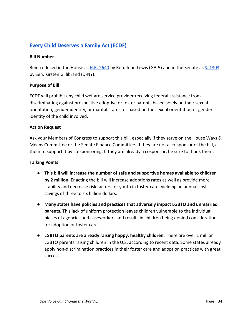# **Every Child [Deserves](https://www.pflag.org/resource/every-child-deserves-family-act) a Family Act (ECDF)**

#### **Bill Number**

Reintroduced in the House as [H.R. 2640](https://www.congress.gov/bill/115th-congress/house-bill/2640?q=%7B%22search%22%3A%5B%22Every+Child+Deserves+a+Family+Act%22%5D%7D&r=2) by Rep. John Lewis (GA-5) and in the Senate as [S. 1303](https://www.congress.gov/bill/115th-congress/senate-bill/1303?q=%7B%22search%22%3A%5B%22Every+Child+Deserves+a+Family+Act%22%5D%7D&r=1) by Sen. Kirsten Gillibrand (D-NY).

#### **Purpose of Bill**

ECDF will prohibit any child welfare service provider receiving federal assistance from discriminating against prospective adoptive or foster parents based solely on their sexual orientation, gender identity, or marital status, or based on the sexual orientation or gender identity of the child involved.

#### **Action Request**

Ask your Members of Congress to support this bill, especially if they serve on the House Ways & Means Committee or the Senate Finance Committee. If they are not a co-sponsor of the bill, ask them to support it by co-sponsoring. If they are already a cosponsor, be sure to thank them.

- **This bill will increase the number of safe and supportive homes available to children by 2 million.** Enacting the bill will increase adoptions rates as well as provide more stability and decrease risk factors for youth in foster care, yielding an annual cost savings of three to six billion dollars.
- **Many states have policies and practices that adversely impact LGBTQ and unmarried parents**. This lack of uniform protection leaves children vulnerable to the individual biases of agencies and caseworkers and results in children being denied consideration for adoption or foster care.
- **LGBTQ parents are already raising happy, healthy children.** There are over 1 million LGBTQ parents raising children in the U.S. according to recent data. Some states already apply non-discrimination practices in their foster care and adoption practices with great success.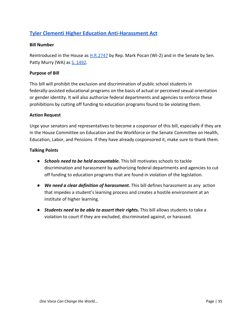# **Tyler Clementi Higher Education [Anti-Harassment](https://www.pflag.org/take-action/tyler-clementi-higher-education-anti-harassment-act-2015) Act**

#### **Bill Number**

Reintroduced in the House as  $H.R.2747$  by Rep. Mark Pocan (WI-2) and in the Senate by Sen. Patty Murry (WA) as [S. 1492](https://www.congress.gov/bill/116th-congress/senate-bill/1492/related-bills).

#### **Purpose of Bill**

This bill will prohibit the exclusion and discrimination of public school students in federally-assisted educational programs on the basis of actual or perceived sexual orientation or gender identity. It will also authorize federal departments and agencies to enforce these prohibitions by cutting off funding to education programs found to be violating them.

#### **Action Request**

Urge your senators and representatives to become a cosponsor of this bill, especially if they are in the House Committee on Education and the Workforce or the Senate Committee on Health, Education, Labor, and Pensions. If they have already cosponsored it, make sure to thank them.

- *Schools need to be held accountable.* This bill motivates schools to tackle discrimination and harassment by authorizing federal departments and agencies to cut off funding to education programs that are found in violation of the legislation.
- *We need a clear definition of harassment.* This bill defines harassment as any action that impedes a student's learning process and creates a hostile environment at an institute of higher learning.
- *Students need to be able to assert their rights.* This bill allows students to take a violation to court if they are excluded, discriminated against, or harassed.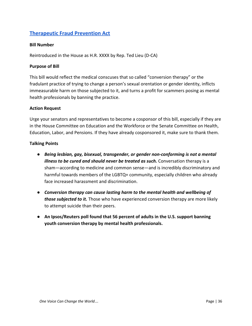# **[Therapeutic](https://lieu.house.gov/media-center/press-releases/rep-lieu-introduces-federal-ban-conversion-therapy) Fraud Prevention Act**

#### **Bill Number**

Reintroduced in the House as H.R. XXXX by Rep. Ted Lieu (D-CA)

#### **Purpose of Bill**

This bill would reflect the medical conscuses that so called "conversion therapy" or the fradulant practice of trying to change a person's sexual orentation or gender identity, inflicts immeasurable harm on those subjected to it, and turns a profit for scammers posing as mental health professionals by banning the practice.

#### **Action Request**

Urge your senators and representatives to become a cosponsor of this bill, especially if they are in the House Committee on Education and the Workforce or the Senate Committee on Health, Education, Labor, and Pensions. If they have already cosponsored it, make sure to thank them.

- *Being lesbian, gay, bisexual, transgender, or gender non-conforming is not a mental illness to be cured and should never be treated as such.* Conversation therapy is a sham—according to medicine and common sense—and is incredibly discriminatory and harmful towards members of the LGBTQ+ community, especially children who already face increased harassment and discrimination.
- *Conversion therapy can cause lasting harm to the mental health and wellbeing of those subjected to it.* Those who have experienced conversion therapy are more likely to attempt suicide than their peers.
- **● An Ipsos/Reuters poll found that 56 percent of adults in the U.S. support banning youth conversion therapy by mental health professionals.**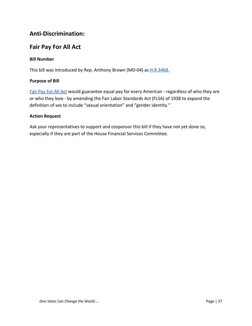# **Anti-Discrimination:**

# **Fair Pay For All Act**

### **Bill Number**

This bill was introduced by Rep. Anthony Brown (MD-04) as **[H.R.3468.](https://www.congress.gov/bill/116th-congress/house-bill/3468?q=%7B%22search%22%3A%5B%22Fair+Pay+For+All+Act%22%5D%7D&s=1&r=1)** 

#### **Purpose of Bill**

[Fair Pay For All Act](http://dearcolleague.us/2019/05/become-an-original-cosponsor-of-the-fair-pay-for-all-act-2/) would guarantee equal pay for every American - regardless of who they are or who they love - by amending the Fair Labor Standards Act (FLSA) of 1938 to expand the definition of sex to include "sexual orientation" and "gender identity."

#### **Action Request**

Ask your representatives to support and cosponsor this bill if they have not yet done so, especially if they are part of the House Financial Services Committee.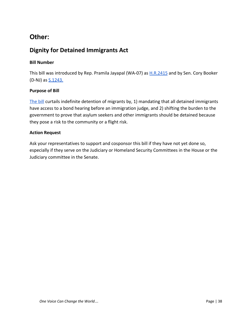# **Other:**

# **Dignity for Detained Immigrants Act**

#### **Bill Number**

This bill was introduced by Rep. Pramila Jayapal (WA-07) as **[H.R.2415](https://www.congress.gov/bill/116th-congress/house-bill/2415)** and by Sen. Cory Booker (D-NJ) as **[S.1243.](https://www.congress.gov/bill/116th-congress/senate-bill/1243)** 

#### **Purpose of Bill**

[The bill](https://www.booker.senate.gov/?p=press_release&id=917) curtails indefinite detention of migrants by, 1) mandating that all detained immigrants have access to a bond hearing before an immigration judge, and 2) shifting the burden to the government to prove that asylum seekers and other immigrants should be detained because they pose a risk to the community or a flight risk.

#### **Action Request**

Ask your representatives to support and cosponsor this bill if they have not yet done so, especially if they serve on the Judiciary or Homeland Security Committees in the House or the Judiciary committee in the Senate.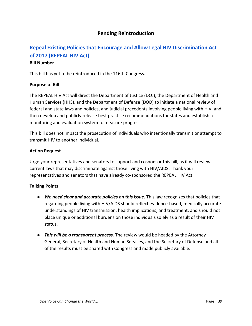### **Pending Reintroduction**

# **Repeal Existing Policies that Encourage and Allow Legal HIV [Discrimination](https://www.pflag.org/take-action/repeal-hiv-discrimination-act-2015) Act of 2017 [\(REPEAL](https://www.pflag.org/take-action/repeal-hiv-discrimination-act-2015) HIV Act)**

#### **Bill Number**

This bill has yet to be reintroduced in the 116th Congress.

#### **Purpose of Bill**

The REPEAL HIV Act will direct the Department of Justice (DOJ), the Department of Health and Human Services (HHS), and the Department of Defense (DOD) to initiate a national review of federal and state laws and policies, and judicial precedents involving people living with HIV, and then develop and publicly release best practice recommendations for states and establish a monitoring and evaluation system to measure progress.

This bill does not impact the prosecution of individuals who intentionally transmit or attempt to transmit HIV to another individual.

#### **Action Request**

Urge your representatives and senators to support and cosponsor this bill, as it will review current laws that may discriminate against those living with HIV/AIDS. Thank your representatives and senators that have already co-sponsored the REPEAL HIV Act.

- *We need clear and accurate policies on this issue.* This law recognizes that policies that regarding people living with HIV/AIDS should reflect evidence-based, medically accurate understandings of HIV transmission, health implications, and treatment, and should not place unique or additional burdens on those individuals solely as a result of their HIV status.
- *This will be a transparent process.* The review would be headed by the Attorney General, Secretary of Health and Human Services, and the Secretary of Defense and all of the results must be shared with Congress and made publicly available.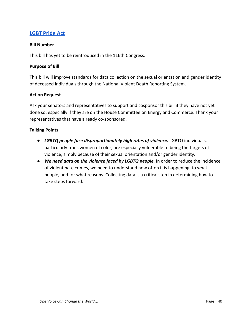### **LGBT [Pride](https://www.pflag.org/take-action/lgbt-pride-act) Act**

#### **Bill Number**

This bill has yet to be reintroduced in the 116th Congress.

#### **Purpose of Bill**

This bill will improve standards for data collection on the sexual orientation and gender identity of deceased individuals through the National Violent Death Reporting System.

#### **Action Request**

Ask your senators and representatives to support and cosponsor this bill if they have not yet done so, especially if they are on the House Committee on Energy and Commerce. Thank your representatives that have already co-sponsored.

- **●** *LGBTQ people face disproportionately high rates of violence.* LGBTQ individuals, particularly trans women of color, are especially vulnerable to being the targets of violence, simply because of their sexual orientation and/or gender identity.
- **●** *We need data on the violence faced by LGBTQ people.* In order to reduce the incidence of violent hate crimes, we need to understand how often it is happening, to what people, and for what reasons. Collecting data is a critical step in determining how to take steps forward.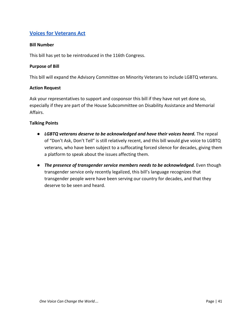# **Voices for [Veterans](https://www.pflag.org/take-action/voices-veterans-act) Act**

#### **Bill Number**

This bill has yet to be reintroduced in the 116th Congress.

#### **Purpose of Bill**

This bill will expand the Advisory Committee on Minority Veterans to include LGBTQ veterans.

#### **Action Request**

Ask your representatives to support and cosponsor this bill if they have not yet done so, especially if they are part of the House Subcommittee on Disability Assistance and Memorial Affairs.

- *LGBTQ veterans deserve to be acknowledged and have their voices heard.* The repeal of "Don't Ask, Don't Tell" is still relatively recent, and this bill would give voice to LGBTQ veterans, who have been subject to a suffocating forced silence for decades, giving them a platform to speak about the issues affecting them.
- **The presence of transgender service members needs to be acknowledged.** Even though transgender service only recently legalized, this bill's language recognizes that transgender people were have been serving our country for decades, and that they deserve to be seen and heard.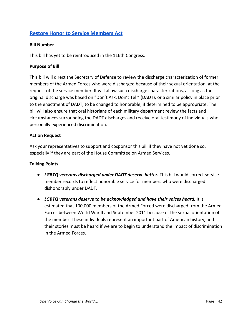# **Restore Honor to Service [Members](https://www.pflag.org/take-action/restore-honor-service-members-act) Act**

#### **Bill Number**

This bill has yet to be reintroduced in the 116th Congress.

#### **Purpose of Bill**

This bill will direct the Secretary of Defense to review the discharge characterization of former members of the Armed Forces who were discharged because of their sexual orientation, at the request of the service member. It will allow such discharge characterizations, as long as the original discharge was based on "Don't Ask, Don't Tell" (DADT), or a similar policy in place prior to the enactment of DADT, to be changed to honorable, if determined to be appropriate. The bill will also ensure that oral historians of each military department review the facts and circumstances surrounding the DADT discharges and receive oral testimony of individuals who personally experienced discrimination.

#### **Action Request**

Ask your representatives to support and cosponsor this bill if they have not yet done so, especially if they are part of the House Committee on Armed Services.

- *LGBTQ veterans discharged under DADT deserve better.* This bill would correct service member records to reflect honorable service for members who were discharged dishonorably under DADT.
- *LGBTQ veterans deserve to be acknowledged and have their voices heard.* It is estimated that 100,000 members of the Armed Forced were discharged from the Armed Forces between World War II and September 2011 because of the sexual orientation of the member. These individuals represent an important part of American history, and their stories must be heard if we are to begin to understand the impact of discrimination in the Armed Forces.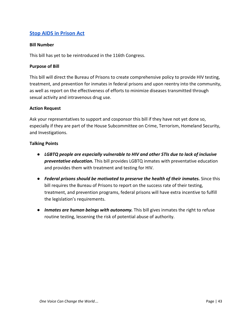# **Stop AIDS in [Prison](https://www.pflag.org/take-action/stop-aids-prison-act) Act**

#### **Bill Number**

This bill has yet to be reintroduced in the 116th Congress.

#### **Purpose of Bill**

This bill will direct the Bureau of Prisons to create comprehensive policy to provide HIV testing, treatment, and prevention for inmates in federal prisons and upon reentry into the community, as well as report on the effectiveness of efforts to minimize diseases transmitted through sexual activity and intravenous drug use.

#### **Action Request**

Ask your representatives to support and cosponsor this bill if they have not yet done so, especially if they are part of the House Subcommittee on Crime, Terrorism, Homeland Security, and Investigations.

- *LGBTQ people are especially vulnerable to HIV and other STIs due to lack of inclusive preventative education.* This bill provides LGBTQ inmates with preventative education and provides them with treatment and testing for HIV.
- *Federal prisons should be motivated to preserve the health of their inmates.* Since this bill requires the Bureau of Prisons to report on the success rate of their testing, treatment, and prevention programs, federal prisons will have extra incentive to fulfill the legislation's requirements.
- *Inmates are human beings with autonomy.* This bill gives inmates the right to refuse routine testing, lessening the risk of potential abuse of authority.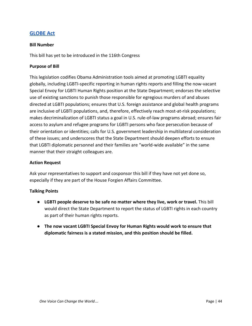### **[GLOBE](https://titus.house.gov/press-releases/titus-senior-democrats-introduce-international-lgbti-rights-bill) Act**

#### **Bill Number**

This bill has yet to be introduced in the 116th Congress

#### **Purpose of Bill**

This legislation codifies Obama Administration tools aimed at promoting LGBTI equality globally, including LGBTI-specific reporting in human rights reports and filling the now-vacant Special Envoy for LGBTI Human Rights position at the State Department; endorses the selective use of existing sanctions to punish those responsible for egregious murders of and abuses directed at LGBTI populations; ensures that U.S. foreign assistance and global health programs are inclusive of LGBTI populations, and, therefore, effectively reach most-at-risk populations; makes decriminalization of LGBTI status a goal in U.S. rule-of-law programs abroad; ensures fair access to asylum and refugee programs for LGBTI persons who face persecution because of their orientation or identities; calls for U.S. government leadership in multilateral consideration of these issues; and underscores that the State Department should deepen efforts to ensure that LGBTI diplomatic personnel and their families are "world-wide available" in the same manner that their straight colleagues are.

#### **Action Request**

Ask your representatives to support and cosponsor this bill if they have not yet done so, especially if they are part of the House Forgien Affairs Committee.

- **LGBTI people deserve to be safe no matter where they live, work or travel.** This bill would direct the State Department to report the status of LGBTI rights in each country as part of their human rights reports.
- **● The now vacant LGBTI Special Envoy for Human Rights would work to ensure that diplomatic fairness is a stated mission, and this position should be filled.**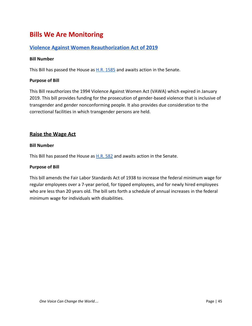# <span id="page-45-0"></span>**Bills We Are Monitoring**

### **Violence Against Women [Reauthorization](https://www.majorityleader.gov/content/bipartisan-violence-against-women-reauthorization-act-2019) Act of 2019**

#### **Bill Number**

This Bill has passed the House as **H.R. 1585** and awaits action in the Senate.

#### **Purpose of Bill**

This Bill reauthorizes the 1994 Violence Against Women Act (VAWA) which expired in January 2019. This bill provides funding for the prosecution of gender-based violence that is inclusive of transgender and gender nonconforming people. It also provides due consideration to the correctional facilities in which transgender persons are held.

### **Raise the Wage Act**

#### **Bill Number**

This Bill has passed the House as  $H.R. 582$  and awaits action in the Senate.

#### **Purpose of Bill**

This bill amends the Fair Labor Standards Act of 1938 to increase the federal minimum wage for regular employees over a 7-year period, for tipped employees, and for newly hired employees who are less than 20 years old. The bill sets forth a schedule of annual increases in the federal minimum wage for individuals with disabilities.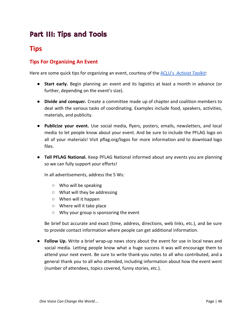# Part III: Tips and Tools

# <span id="page-46-0"></span>**Tips**

# <span id="page-46-1"></span>**Tips For Organizing An Event**

Here are some quick tips for organizing an event, courtesy of the [ACLU's](https://aclu-wa.org/activist-toolkit) *[Activist Toolkit](https://aclu-wa.org/activist-toolkit)*:

- **Start early.** Begin planning an event and its logistics at least a month in advance (or further, depending on the event's size).
- **Divide and conquer.** Create a committee made up of chapter and coalition members to deal with the various tasks of coordinating. Examples include food, speakers, activities, materials, and publicity.
- **Publicize your event.** Use social media, flyers, posters, emails, newsletters, and local media to let people know about your event. And be sure to include the PFLAG logo on all of your materials! Visit pflag.org/logos for more information and to download logo files.
- **Tell PFLAG National.** Keep PFLAG National informed about any events you are planning so we can fully support your efforts!

In all advertisements, address the 5 Ws:

- Who will be speaking
- What will they be addressing
- When will it happen
- Where will it take place
- Why your group is sponsoring the event

Be brief but accurate and exact (time, address, directions, web links, etc.), and be sure to provide contact information where people can get additional information.

● **Follow Up.** Write a brief wrap-up news story about the event for use in local news and social media. Letting people know what a huge success it was will encourage them to attend your next event. Be sure to write thank-you notes to all who contributed, and a general thank you to all who attended, including information about how the event went (number of attendees, topics covered, funny stories, etc.).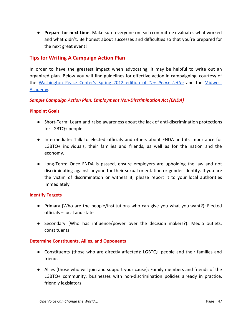● **Prepare for next time.** Make sure everyone on each committee evaluates what worked and what didn't. Be honest about successes and difficulties so that you're prepared for the next great event!

### <span id="page-47-0"></span>**Tips for Writing A Campaign Action Plan**

In order to have the greatest impact when advocating, it may be helpful to write out an organized plan. Below you will find guidelines for effective action in campaigning, courtesy of the [Washington](http://washingtonpeacecenter.net/sites/default/files/Spring2012.pdf) Peace Center's Spring 2012 edition of *The [Peace](http://washingtonpeacecenter.net/sites/default/files/Spring2012.pdf) Letter* and the [Midwest](http://collectiveliberation.org/wp-content/uploads/2013/01/Midwest_Academy_Guide_to_Tactics.pdf) [Academy](http://collectiveliberation.org/wp-content/uploads/2013/01/Midwest_Academy_Guide_to_Tactics.pdf).

#### <span id="page-47-1"></span>*Sample Campaign Action Plan: Employment Non-Discrimination Act (ENDA)*

#### <span id="page-47-2"></span>**Pinpoint Goals**

- Short-Term: Learn and raise awareness about the lack of anti-discrimination protections for LGBTQ+ people.
- Intermediate: Talk to elected officials and others about ENDA and its importance for LGBTQ+ individuals, their families and friends, as well as for the nation and the economy.
- Long-Term: Once ENDA is passed, ensure employers are upholding the law and not discriminating against anyone for their sexual orientation or gender identity. If you are the victim of discrimination or witness it, please report it to your local authorities immediately.

#### <span id="page-47-3"></span>**Identify Targets**

- Primary (Who are the people/institutions who can give you what you want?): Elected officials – local and state
- Secondary (Who has influence/power over the decision makers?): Media outlets, constituents

#### <span id="page-47-4"></span>**Determine Constituents, Allies, and Opponents**

- Constituents (those who are directly affected): LGBTQ+ people and their families and friends
- Allies (those who will join and support your cause): Family members and friends of the LGBTQ+ community, businesses with non-discrimination policies already in practice, friendly legislators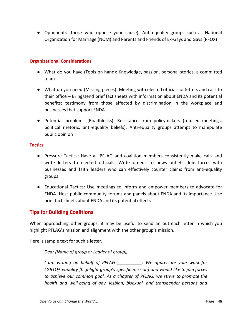● Opponents (those who oppose your cause): Anti-equality groups such as National Organization for Marriage (NOM) and Parents and Friends of Ex-Gays and Gays (PFOX)

#### <span id="page-48-0"></span>**Organizational Considerations**

- What do you have (Tools on hand): Knowledge, passion, personal stories, a committed team
- What do you need (Missing pieces): Meeting with elected officials or letters and calls to their office – Bring/send brief fact sheets with information about ENDA and its potential benefits; testimony from those affected by discrimination in the workplace and businesses that support ENDA
- Potential problems (Roadblocks): Resistance from policymakers (refused meetings, political rhetoric, anti-equality beliefs); Anti-equality groups attempt to manipulate public opinion

#### <span id="page-48-1"></span>**Tactics**

- Pressure Tactics: Have all PFLAG and coalition members consistently make calls and write letters to elected officials. Write op-eds to news outlets. Join forces with businesses and faith leaders who can effectively counter claims from anti-equality groups
- Educational Tactics: Use meetings to inform and empower members to advocate for ENDA. Host public community forums and panels about ENDA and its importance. Use brief fact sheets about ENDA and its potential effects

### <span id="page-48-2"></span>**Tips for Building Coalitions**

When approaching other groups, it may be useful to send an outreach letter in which you highlight PFLAG's mission and alignment with the other group's mission.

Here is sample text for such a letter.

#### *Dear (Name of group or Leader of group),*

*I am writing on behalf of PFLAG \_\_\_\_\_\_\_\_\_\_. We appreciate your work for LGBTQ+ equality [highlight group's specific mission] and would like to join forces to achieve our common goal. As a chapter of PFLAG, we strive to promote the health and well-being of gay, lesbian, bisexual, and transgender persons and*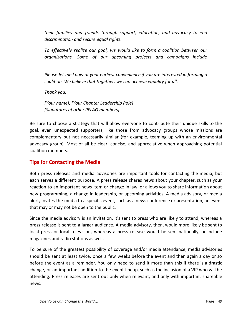*their families and friends through support, education, and advocacy to end discrimination and secure equal rights.*

*To effectively realize our goal, we would like to form a coalition between our organizations. Some of our upcoming projects and campaigns include*

*Please let me know at your earliest convenience if you are interested in forming a coalition. We believe that together, we can achieve equality for all.*

*Thank you,*

*\_\_\_\_\_\_\_\_\_\_\_.*

*[Your name], [Your Chapter Leadership Role] [Signatures of other PFLAG members]*

Be sure to choose a strategy that will allow everyone to contribute their unique skills to the goal, even unexpected supporters, like those from advocacy groups whose missions are complementary but not necessarily similar (for example, teaming up with an environmental advocacy group). Most of all be clear, concise, and appreciative when approaching potential coalition members.

### <span id="page-49-0"></span>**Tips for Contacting the Media**

Both press releases and media advisories are important tools for contacting the media, but each serves a different purpose. A press release shares news about your chapter, such as your reaction to an important news item or change in law, or allows you to share information about new programming, a change in leadership, or upcoming activities. A media advisory, or media alert, invites the media to a specific event, such as a news conference or presentation, an event that may or may not be open to the public.

Since the media advisory is an invitation, it's sent to press who are likely to attend, whereas a press release is sent to a larger audience. A media advisory, then, would more likely be sent to local press or local television, whereas a press release would be sent nationally, or include magazines and radio stations as well.

To be sure of the greatest possibility of coverage and/or media attendance, media advisories should be sent at least twice, once a few weeks before the event and then again a day or so before the event as a reminder. You only need to send it more than this if there is a drastic change, or an important addition to the event lineup, such as the inclusion of a VIP who will be attending. Press releases are sent out only when relevant, and only with important shareable news.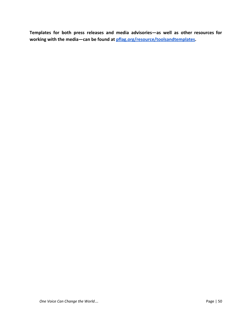**Templates for both press releases and media advisories—as well as other resources for working with the media—can be found at [pflag.org/resource/toolsandtemplates](https://www.pflag.org/resource/toolsandtemplates).**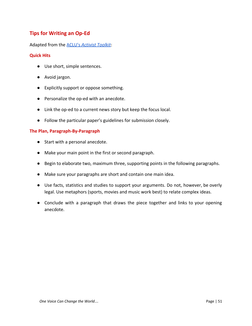# <span id="page-51-0"></span>**Tips for Writing an Op-Ed**

#### Adapted from the [ACLU's](https://aclu-wa.org/tips-writing-letters-editor) *[Activist Toolkit](https://aclu-wa.org/tips-writing-letters-editor)*:

#### <span id="page-51-1"></span>**Quick Hits**

- Use short, simple sentences.
- Avoid jargon.
- Explicitly support or oppose something.
- Personalize the op-ed with an anecdote.
- Link the op-ed to a current news story but keep the focus local.
- Follow the particular paper's guidelines for submission closely.

#### <span id="page-51-2"></span>**The Plan, Paragraph-By-Paragraph**

- Start with a personal anecdote.
- Make your main point in the first or second paragraph.
- Begin to elaborate two, maximum three, supporting points in the following paragraphs.
- Make sure your paragraphs are short and contain one main idea.
- Use facts, statistics and studies to support your arguments. Do not, however, be overly legal. Use metaphors (sports, movies and music work best) to relate complex ideas.
- Conclude with a paragraph that draws the piece together and links to your opening anecdote.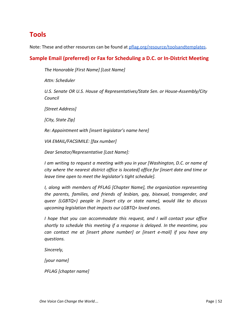# <span id="page-52-0"></span>**Tools**

Note: These and other resources can be found at [pflag.org/resource/toolsandtemplates.](https://www.pflag.org/resource/toolsandtemplates)

# <span id="page-52-1"></span>**Sample Email (preferred) or Fax for Scheduling a D.C. or In-District Meeting**

*The Honorable [First Name] [Last Name]*

*Attn: Scheduler*

*U.S. Senate OR U.S. House of Representatives/State Sen. or House-Assembly/City Council*

*[Street Address]*

*[City, State Zip]*

*Re: Appointment with [insert legislator's name here]*

*VIA EMAIL/FACSIMILE: [fax number]*

*Dear Senator/Representative [Last Name]:*

*I am writing to request a meeting with you in your [Washington, D.C. or name of city where the nearest district office is located] office for [insert date and time or leave time open to meet the legislator's tight schedule].*

*I, along with members of PFLAG [Chapter Name], the organization representing the parents, families, and friends of lesbian, gay, bisexual, transgender, and queer (LGBTQ+) people in [insert city or state name], would like to discuss upcoming legislation that impacts our LGBTQ+ loved ones.*

*I hope that you can accommodate this request, and I will contact your office shortly to schedule this meeting if a response is delayed. In the meantime, you can contact me at [insert phone number] or [insert e-mail] if you have any questions.*

*Sincerely,*

*[your name]*

*PFLAG [chapter name]*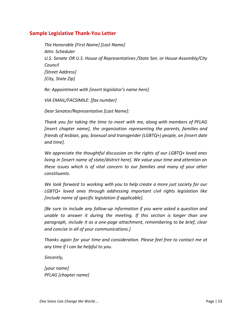### **Sample Legislative Thank-You Letter**

*The Honorable [First Name] [Last Name] Attn: Scheduler U.S. Senate OR U.S. House of Representatives /State Sen. or House-Assembly/City Council [Street Address] [City, State Zip]*

*Re: Appointment with [insert legislator's name here]*

*VIA EMAIL/FACSIMILE: [fax number]*

*Dear Senator/Representative [Last Name]:*

*Thank you for taking the time to meet with me, along with members of PFLAG [insert chapter name], the organization representing the parents, families and friends of lesbian, gay, bisexual and transgender (LGBTQ+) people, on [insert date and time].*

*We appreciate the thoughtful discussion on the rights of our LGBTQ+ loved ones living in [insert name of state/district here]. We value your time and attention on these issues which is of vital concern to our families and many of your other constituents.*

*We look forward to working with you to help create a more just society for our LGBTQ+ loved ones through addressing important civil rights legislation like [include name of specific legislation if applicable].*

*[Be sure to include any follow-up information if you were asked a question and unable to answer it during the meeting. If this section is longer than one paragraph, include it as a one-page attachment, remembering to be brief, clear and concise in all of your communications.]*

*Thanks again for your time and consideration. Please feel free to contact me at any time if I can be helpful to you.*

*Sincerely,*

*[your name] PFLAG [chapter name]*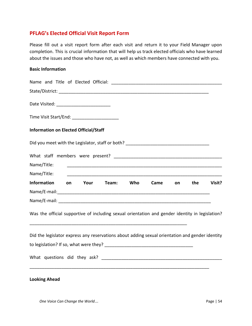### <span id="page-54-0"></span>**PFLAG's Elected Official Visit Report Form**

Please fill out a visit report form after each visit and return it to your Field Manager upon completion. This is crucial information that will help us track elected officials who have learned about the issues and those who have not, as well as which members have connected with you.

#### **Basic Information**

| Time Visit Start/End: ________________________                                                  |
|-------------------------------------------------------------------------------------------------|
| <b>Information on Elected Official/Staff</b>                                                    |
|                                                                                                 |
|                                                                                                 |
| Name/Title:                                                                                     |
| Name/Title:                                                                                     |
| <b>Information</b><br>Team: Who<br>the<br>Visit?<br>Your<br>Came<br>on<br><b>on</b>             |
|                                                                                                 |
|                                                                                                 |
| Was the official supportive of including sexual orientation and gender identity in legislation? |
| Did the legislator express any reservations about adding sexual orientation and gender identity |
|                                                                                                 |
|                                                                                                 |
| <b>Looking Ahead</b>                                                                            |

*One Voice Can Change the World*… Page | 54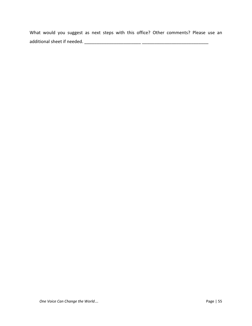What would you suggest as next steps with this office? Other comments? Please use an additional sheet if needed. \_\_\_\_\_\_\_\_\_\_\_\_\_\_\_\_\_\_\_\_\_\_\_ \_\_\_\_\_\_\_\_\_\_\_\_\_\_\_\_\_\_\_\_\_\_\_\_\_\_\_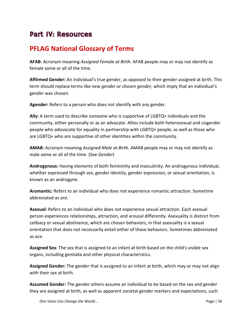# Part IV: Resources

# <span id="page-56-0"></span>**PFLAG National Glossary of Terms**

**AFAB**: Acronym meaning *Assigned Female at Birth*. AFAB people may or may not identify as female some or all of the time.

**Affirmed Gender:** An individual's true gender, as opposed to their gender assigned at birth. This term should replace terms like *new gender* or *chosen gender*, which imply that an individual's gender was chosen.

**Agender:** Refers to a person who does not identify with any gender.

**Ally:** A term used to describe someone who is supportive of LGBTQ+ individuals and the community, either personally or as an advocate. Allies include both heterosexual and cisgender people who adovocate for equality in partnership with LGBTQ+ people, as well as those who are LGBTQ+ who are supportive of other identities within the community.

**AMAB:** Acronym meaning *Assigned Male at Birth*. AMAB people may or may not identify as male some or all of the time. (See *Gender*)

**Androgynous:** Having elements of both femininity and masculinity. An androgynous individual, whether expressed through sex, gender identity, gender expression, or sexual orientation, is known as an androgyne.

**Aromantic:** Refers to an individual who does not experience romantic attraction. Sometime abbreviated as *aro*.

**Asexual:** Refers to an individual who does not experience sexual attraction. Each asexual person experiences relationships, attraction, and arousal differently. Asexuality is distinct from celibacy or sexual abstinence, which are chosen behaviors, in that asexuality is a sexual orientation that does not necessarily entail either of those behaviors. Sometimes abbreviated as *ace*.

**Assigned Sex**: The sex that is assigned to an infant at birth based on the child's visible sex organs, including genitalia and other physical characteristics.

**Assigned Gender:** The gender that is assigned to an infant at birth, which may or may not align with their sex at birth.

**Assumed Gender:** The gender others assume an individual to be based on the sex and gender they are assigned at birth, as well as apparent societal gender markers and expectations, such

*One Voice Can Change the World*… **Page 156 Page 156 Page 156**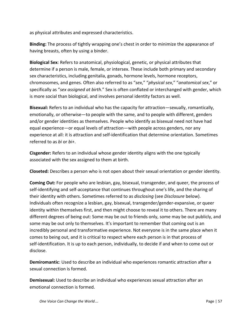as physical attributes and expressed characteristics.

**Binding:** The process of tightly wrapping one's chest in order to minimize the appearance of having breasts, often by using a binder.

**Biological Sex**: Refers to anatomical, physiological, genetic, or physical attributes that determine if a person is male, female, or intersex. These include both primary and secondary sex characteristics, including genitalia, gonads, hormone levels, hormone receptors, chromosomes, and genes. Often also referred to as "*sex*," "*physical sex*," "*anatomical sex*," or specifically as "*sex assigned at birth*." Sex is often conflated or interchanged with gender, which is more social than biological, and involves personal identity factors as well.

**Bisexual:** Refers to an individual who has the capacity for attraction—sexually, romantically, emotionally, or otherwise—to people with the same, and to people with different, genders and/or gender identities as themselves. People who identify as bisexual need not have had equal experience—or equal levels of attraction—with people across genders, nor any experience at all: it is attraction and self-identification that determine orientation. Sometimes referred to as *bi* or *bi+*.

**Cisgender:** Refers to an individual whose gender identity aligns with the one typically associated with the sex assigned to them at birth.

**Closeted:** Describes a person who is not open about their sexual orientation or gender identity.

**Coming Out:** For people who are lesbian, gay, bisexual, transgender, and queer, the process of self-identifying and self-acceptance that continues throughout one's life, and the sharing of their identity with others. Sometimes referred to as *disclosing* (see *Disclosure* below). Individuals often recognize a lesbian, gay, bisexual, transgender/gender-expansive, or queer identity within themselves first, and then might choose to reveal it to others. There are many different degrees of being out: Some may be out to friends only, some may be out publicly, and some may be out only to themselves. It's important to remember that coming out is an incredibly personal and transformative experience. Not everyone is in the same place when it comes to being out, and it is critical to respect where each person is in that process of self-identification. It is up to each person, individually, to decide if and when to come out or disclose.

**Demiromantic**: Used to describe an individual who experiences romantic attraction after a sexual connection is formed.

**Demisexual:** Used to describe an individual who experiences sexual attraction after an emotional connection is formed.

*One Voice Can Change the World*… **Page 157 Page 157**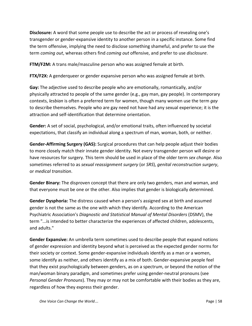**Disclosure:** A word that some people use to describe the act or process of revealing one's transgender or gender-expansive identity to another person in a specific instance. Some find the term offensive, implying the need to disclose something shameful, and prefer to use the term *coming out*, whereas others find *coming out* offensive, and prefer to use *disclosure*.

**FTM/F2M:** A trans male/masculine person who was assigned female at birth.

**FTX/F2X:** A genderqueer or gender expansive person who was assigned female at birth.

**Gay:** The adjective used to describe people who are emotionally, romantically, and/or physically attracted to people of the same gender (e.g., gay man, gay people). In contemporary contexts, *lesbian* is often a preferred term for women, though many women use the term *gay* to describe themselves. People who are gay need not have had any sexual experience; it is the attraction and self-identification that determine orientation.

**Gender:** A set of social, psychological, and/or emotional traits, often influenced by societal expectations, that classify an individual along a spectrum of man, woman, both, or neither.

**Gender-Affirming Surgery (GAS):** Surgical procedures that can help people adjust their bodies to more closely match their innate gender identity. Not every transgender person will desire or have resources for surgery. This term should be used in place of the older term *sex change*. Also sometimes referred to as *sexual reassignment surgery* (or *SRS*), *genital reconstruction surgery*, or *medical transition*.

**Gender Binary:** The disproven concept that there are only two genders, man and woman, and that everyone must be one or the other. Also implies that gender is biologically determined.

**Gender Dysphoria:** The distress caused when a person's assigned sex at birth and assumed gender is not the same as the one with which they identify. According to the American Psychiatric Association's *Diagnostic and Statistical Manual of Mental Disorders* (DSMV), the term "...is intended to better characterize the experiences of affected children, adolescents, and adults."

**Gender Expansive:** An umbrella term sometimes used to describe people that expand notions of gender expression and identity beyond what is perceived as the expected gender norms for their society or context. Some gender-expansive individuals identify as a man or a women, some identify as neither, and others identify as a mix of both. Gender-expansive people feel that they exist psychologically between genders, as on a spectrum, or beyond the notion of the man/woman binary paradigm, and sometimes prefer using gender-neutral pronouns (see *Personal Gender Pronouns*). They may or may not be comfortable with their bodies as they are, regardless of how they express their gender.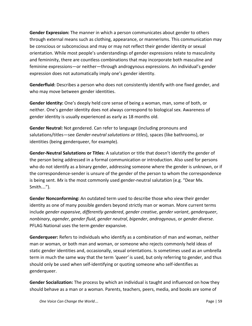**Gender Expression:** The manner in which a person communicates about gender to others through external means such as clothing, appearance, or mannerisms. This communication may be conscious or subconscious and may or may not reflect their gender identity or sexual orientation. While most people's understandings of gender expressions relate to masculinity and femininity, there are countless combinations that may incorporate both masculine and feminine expressions—or neither—through androgynous expressions. An individual's gender expression does not automatically imply one's gender identity.

**Genderfluid:** Describes a person who does not consistently identify with one fixed gender, and who may move between gender identities.

**Gender Identity:** One's deeply held core sense of being a woman, man, some of both, or neither. One's gender identity does not always correspond to biological sex. Awareness of gender identity is usually experienced as early as 18 months old.

**Gender Neutral:** Not gendered. Can refer to language (including pronouns and salutations/titles—see *Gender-neutral salutations or titles*), spaces (like bathrooms), or identities (being genderqueer, for example).

**Gender-Neutral Salutations or Titles**: A salutation or title that doesn't identify the gender of the person being addressed in a formal communication or introduction. Also used for persons who do not identify as a binary gender, addressing someone where the gender is unknown, or if the correspondence-sender is unsure of the gender of the person to whom the correspondence is being sent. *Mx* is the most commonly used gender-neutral salutation (e.g. "Dear Mx. Smith…").

**Gender Nonconforming:** An outdated term used to describe those who view their gender identity as one of many possible genders beyond strictly man or woman. More current terms include *gender expansive*, *differently gendered*, *gender creative*, *gender variant*, *genderqueer*, *nonbinary*, *agender*, *gender fluid*, *gender neutral*, *bigender*, *androgynous*, or *gender diverse*. PFLAG National uses the term gender expansive.

**Genderqueer:** Refers to individuals who identify as a combination of man and woman, neither man or woman, or both man and woman, or someone who rejects commonly held ideas of static gender identities and, occasionally, sexual orientations. Is sometimes used as an umbrella term in much the same way that the term *'queer'* is used, but only referring to gender, and thus should only be used when self-identifying or quoting someone who self-identifies as genderqueer.

**Gender Socialization:** The process by which an individual is taught and influenced on how they should behave as a man or a woman. Parents, teachers, peers, media, and books are some of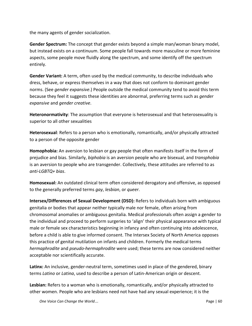the many agents of gender socialization.

**Gender Spectrum:** The concept that gender exists beyond a simple man/woman binary model, but instead exists on a continuum. Some people fall towards more masculine or more feminine aspects, some people move fluidly along the spectrum, and some identify off the spectrum entirely.

**Gender Variant:** A term, often used by the medical community, to describe individuals who dress, behave, or express themselves in a way that does not conform to dominant gender norms. (See *gender expansive*.) People outside the medical community tend to avoid this term because they feel it suggests these identities are abnormal, preferring terms such as *gender expansive* and *gender creative*.

**Heteronormativity**: The assumption that everyone is heterosexual and that heterosexuality is superior to all other sexualities

**Heterosexual**: Refers to a person who is emotionally, romantically, and/or physically attracted to a person of the opposite gender

**Homophobia:** An aversion to lesbian or gay people that often manifests itself in the form of prejudice and bias. Similarly, *biphobia* is an aversion people who are bisexual, and *transphobia* is an aversion to people who are transgender. Collectively, these attitudes are referred to as *anti-LGBTQ+ bias*.

**Homosexual:** An outdated clinical term often considered derogatory and offensive, as opposed to the generally preferred terms *gay*, *lesbian*, or *queer*.

**Intersex/Differences of Sexual Development (DSD):** Refers to individuals born with ambiguous genitalia or bodies that appear neither typically male nor female, often arising from chromosomal anomalies or ambiguous genitalia. Medical professionals often assign a gender to the individual and proceed to perform surgeries to 'align' their physical appearance with typical male or female sex characteristics beginning in infancy and often continuing into adolescence, before a child is able to give informed consent. The Intersex Society of North America opposes this practice of genital mutilation on infants and children. Formerly the medical terms *hermaphrodite* and *pseudo-hermaphrodite* were used; these terms are now considered neither acceptable nor scientifically accurate.

**Latinx:** An inclusive, gender-neutral term, sometimes used in place of the gendered, binary terms *Latino* or *Latina*, used to describe a person of Latin-American origin or descent.

**Lesbian:** Refers to a woman who is emotionally, romantically, and/or physically attracted to other women. People who are lesbians need not have had any sexual experience; it is the

*One Voice Can Change the World*… **Page 160 Page 160 Page 160**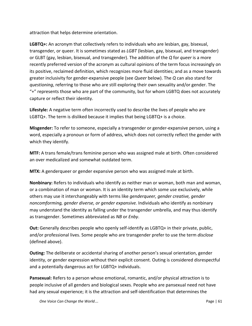attraction that helps determine orientation.

**LGBTQ+:** An acronym that collectively refers to individuals who are lesbian, gay, bisexual, transgender, or queer. It is sometimes stated as *LGBT* (lesbian, gay, bisexual, and transgender) or GLBT (gay, lesbian, bisexual, and transgender). The addition of the *Q* for *queer* is a more recently preferred version of the acronym as cultural opinions of the term focus increasingly on its positive, reclaimed definition, which recognizes more fluid identities; and as a move towards greater inclusivity for gender-expansive people (see *Queer* below). The *Q* can also stand for *questioning*, referring to those who are still exploring their own sexuality and/or gender. The  $4$  represents those who are part of the community, but for whom LGBTQ does not accurately capture or reflect their identity.

**Lifestyle:** A negative term often incorrectly used to describe the lives of people who are LGBTQ+. The term is disliked because it implies that being LGBTQ+ is a choice.

**Misgender:** To refer to someone, especially a transgender or gender-expansive person, using a word, especially a pronoun or form of address, which does not correctly reflect the gender with which they identify.

**MTF:** A trans female/trans feminine person who was assigned male at birth. Often considered an over medicalized and somewhat outdated term.

**MTX:** A genderqueer or gender expansive person who was assigned male at birth.

**Nonbinary:** Refers to individuals who identify as neither man or woman, both man and woman, or a combination of man or woman. It is an identity term which some use exclusively, while others may use it interchangeably with terms like *genderqueer, gender creative, gender noncomforming, gender diverse, or gender expansive.* Individuals who identify as nonbinary may understand the identity as falling under the transgender umbrella, and may thus identify as transgender. Sometimes abbreviated as *NB* or *Enby*.

**Out:** Generally describes people who openly self-identify as LGBTQ+ in their private, public, and/or professional lives. Some people who are transgender prefer to use the term *disclose* (defined above).

**Outing:** The deliberate or accidental sharing of another person's sexual orientation, gender identity, or gender expression without their explicit consent. Outing is considered disrespectful and a potentially dangerous act for LGBTQ+ individuals.

**Pansexual:** Refers to a person whose emotional, romantic, and/or physical attraction is to people inclusive of all genders and biological sexes. People who are pansexual need not have had any sexual experience; it is the attraction and self-identification that determines the

*One Voice Can Change the World*… **Page 161 Page 161 Page 161**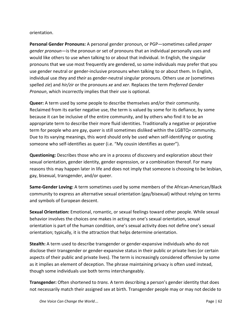#### orientation.

**Personal Gender Pronouns:** A personal gender pronoun, or PGP—sometimes called *proper gender pronoun*—is the pronoun or set of pronouns that an individual personally uses and would like others to use when talking to or about that individual. In English, the singular pronouns that we use most frequently are gendered, so some individuals may prefer that you use gender neutral or gender-inclusive pronouns when talking to or about them. In English, individual use *they* and *their* as gender-neutral singular pronouns. Others use *ze* (sometimes spelled *zie*) and *hir/zir* or the pronouns *xe* and *xer*. Replaces the term *Preferred Gender Pronoun*, which incorrectly implies that their use is optional.

**Queer:** A term used by some people to describe themselves and/or their community. Reclaimed from its earlier negative use, the term is valued by some for its defiance, by some because it can be inclusive of the entire community, and by others who find it to be an appropriate term to describe their more fluid identities. Traditionally a negative or pejorative term for people who are gay, *queer* is still sometimes disliked within the LGBTQ+ community. Due to its varying meanings, this word should only be used when self-identifying or quoting someone who self-identifies as queer (i.e. "My cousin identifies as queer").

**Questioning:** Describes those who are in a process of discovery and exploration about their sexual orientation, gender identity, gender expression, or a combination thereof. For many reasons this may happen later in life and does not imply that someone is choosing to be lesbian, gay, bisexual, transgender, and/or queer.

**Same-Gender Loving:** A term sometimes used by some members of the African-American/Black community to express an alternative sexual orientation (gay/bisexual) without relying on terms and symbols of European descent.

**Sexual Orientation:** Emotional, romantic, or sexual feelings toward other people. While sexual behavior involves the choices one makes in acting on one's sexual orientation, sexual orientation is part of the human condition, one's sexual activity does not define one's sexual orientation; typically, it is the attraction that helps determine orientation.

**Stealth:** A term used to describe transgender or gender-expansive individuals who do not disclose their transgender or gender-expansive status in their public or private lives (or certain aspects of their public and private lives). The term is increasingly considered offensive by some as it implies an element of deception. The phrase maintaining privacy is often used instead, though some individuals use both terms interchangeably.

**Transgender:** Often shortened to *trans*. A term describing a person's gender identity that does not necessarily match their assigned sex at birth. Transgender people may or may not decide to

*One Voice Can Change the World*… **Page 162 Page 162 Page 162**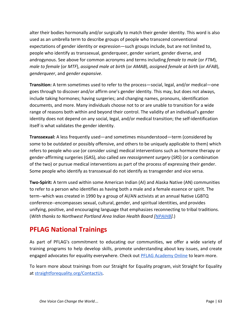alter their bodies hormonally and/or surgically to match their gender identity. This word is also used as an umbrella term to describe groups of people who transcend conventional expectations of gender identity or expression—such groups include, but are not limited to, people who identify as transsexual, genderqueer, gender variant, gender diverse, and androgynous. See above for common acronyms and terms including *female to male* (or *FTM*), *male to female* (or *MTF*), *assigned male at birth* (or *AMAB*), *assigned female at birth* (or *AFAB*), *genderqueer*, and *gender expansive*.

**Transition:** A term sometimes used to refer to the process—social, legal, and/or medical—one goes through to discover and/or affirm one's gender identity. This may, but does not always, include taking hormones; having surgeries; and changing names, pronouns, identification documents, and more. Many individuals choose not to or are unable to transition for a wide range of reasons both within and beyond their control. The validity of an individual's gender identity does not depend on any social, legal, and/or medical transition; the self-identification itself is what validates the gender identity.

**Transsexual:** A less frequently used—and sometimes misunderstood—term (considered by some to be outdated or possibly offensive, and others to be uniquely applicable to them) which refers to people who use (or consider using) medical interventions such as hormone therapy or gender-affirming surgeries (GAS), also called *sex reassignment surgery* (*SRS*) (or a combination of the two) or pursue medical interventions as part of the process of expressing their gender. Some people who identify as transsexual do not identify as transgender and vice versa.

**Two-Spirit:** A term used within some American Indian (AI) and Alaska Native (AN) communities to refer to a person who identifies as having both a male and a female essence or spirit. The term--which was created in 1990 by a group of AI/AN activists at an annual Native LGBTQ conference--encompasses sexual, cultural, gender, and spiritual identities, and provides unifying, positive, and encouraging language that emphasizes reconnecting to tribal traditions. (*With thanks to Northwest Portland Area Indian Health Board [[NPAIHB\]](http://www.npaihb.org/about-us/).*)

# <span id="page-63-0"></span>**PFLAG National Trainings**

As part of PFLAG's commitment to educating our communities, we offer a wide variety of training programs to help develop skills, promote understanding about key issues, and create engaged advocates for equality everywhere. Check out [PFLAG Academy Online](https://www.pflag.org/onlineacademy) to learn more.

To learn more about trainings from our Straight for Equality program, visit Straight for Equality at [straightforequality.org/ContactUs.](http://www.straightforequality.org/ContactUs.html)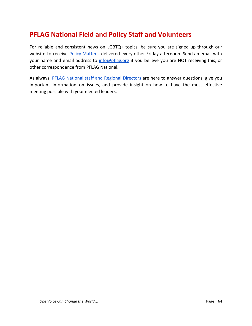# <span id="page-64-0"></span>**PFLAG National Field and Policy Staff and Volunteers**

For reliable and consistent news on LGBTQ+ topics, be sure you are signed up through our website to receive Policy [Matters](https://www.pflag.org/stay-informed), delivered every other Friday afternoon. Send an email with your name and email address to [info@pflag.org](mailto:info@pflag.org) if you believe you are NOT receiving this, or other correspondence from PFLAG National.

As always, PFLAG National staff and Regional [Directors](https://www.pflag.org/about/our-people) are here to answer questions, give you important information on issues, and provide insight on how to have the most effective meeting possible with your elected leaders.